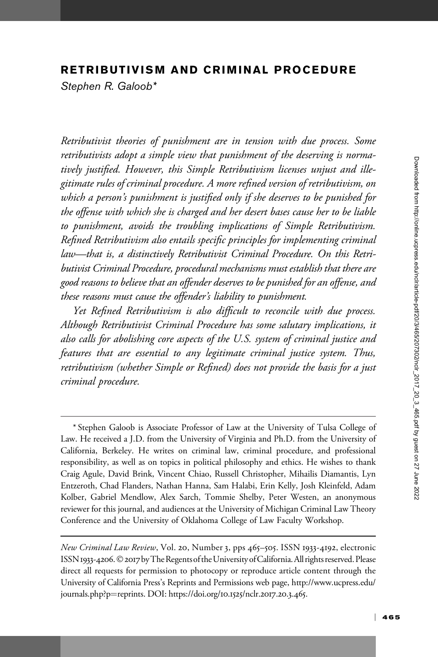### RETRIBUTIVISM AND CRIMINAL PROCEDURE

Stephen R. Galoob\*

Retributivist theories of punishment are in tension with due process. Some retributivists adopt a simple view that punishment of the deserving is normatively justified. However, this Simple Retributivism licenses unjust and illegitimate rules of criminal procedure. A more refined version of retributivism, on which a person's punishment is justified only if she deserves to be punished for the offense with which she is charged and her desert bases cause her to be liable to punishment, avoids the troubling implications of Simple Retributivism. Refined Retributivism also entails specific principles for implementing criminal law—that is, a distinctively Retributivist Criminal Procedure. On this Retributivist Criminal Procedure, procedural mechanisms must establish that there are good reasons to believe that an offender deserves to be punished for an offense, and these reasons must cause the offender's liability to punishment.

Yet Refined Retributivism is also difficult to reconcile with due process. Although Retributivist Criminal Procedure has some salutary implications, it also calls for abolishing core aspects of the U.S. system of criminal justice and features that are essential to any legitimate criminal justice system. Thus, retributivism (whether Simple or Refined) does not provide the basis for a just criminal procedure.

<sup>\*</sup> Stephen Galoob is Associate Professor of Law at the University of Tulsa College of Law. He received a J.D. from the University of Virginia and Ph.D. from the University of California, Berkeley. He writes on criminal law, criminal procedure, and professional responsibility, as well as on topics in political philosophy and ethics. He wishes to thank Craig Agule, David Brink, Vincent Chiao, Russell Christopher, Mihailis Diamantis, Lyn Entzeroth, Chad Flanders, Nathan Hanna, Sam Halabi, Erin Kelly, Josh Kleinfeld, Adam Kolber, Gabriel Mendlow, Alex Sarch, Tommie Shelby, Peter Westen, an anonymous reviewer for this journal, and audiences at the University of Michigan Criminal Law Theory Conference and the University of Oklahoma College of Law Faculty Workshop.

New Criminal Law Review, Vol. 20, Number 3, pps 465–505. ISSN 1933-4192, electronic ISSN 1933-4206. © 2017 by The Regents of the University of California. All rights reserved. Please direct all requests for permission to photocopy or reproduce article content through the University of California Press's Reprints and Permissions web page, [http://www.ucpress.edu/](http://www.ucpress.edu/journals.php?p=reprints) [journals.php?p](http://www.ucpress.edu/journals.php?p=reprints)=[reprints](http://www.ucpress.edu/journals.php?p=reprints). [DOI: https://doi.org/](https://doi.org/10.1525/nclr.2017.20.3.465)10.1525/nclr.2017.20.3.465.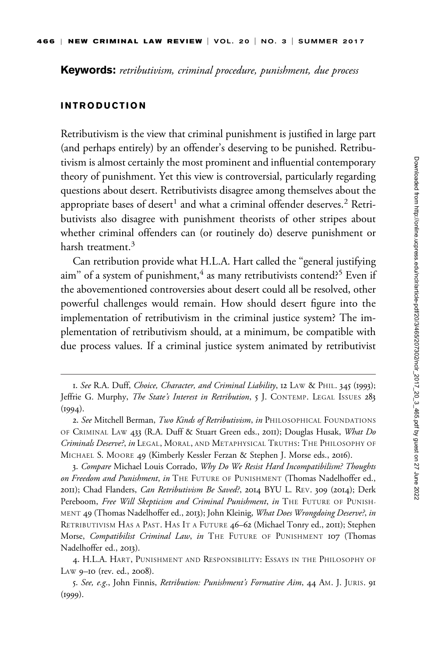Keywords: retributivism, criminal procedure, punishment, due process

#### INTRODUCTION

Retributivism is the view that criminal punishment is justified in large part (and perhaps entirely) by an offender's deserving to be punished. Retributivism is almost certainly the most prominent and influential contemporary theory of punishment. Yet this view is controversial, particularly regarding questions about desert. Retributivists disagree among themselves about the appropriate bases of desert<sup>1</sup> and what a criminal offender deserves.<sup>2</sup> Retributivists also disagree with punishment theorists of other stripes about whether criminal offenders can (or routinely do) deserve punishment or harsh treatment.<sup>3</sup>

Can retribution provide what H.L.A. Hart called the ''general justifying aim" of a system of punishment, $4$  as many retributivists contend?<sup>5</sup> Even if the abovementioned controversies about desert could all be resolved, other powerful challenges would remain. How should desert figure into the implementation of retributivism in the criminal justice system? The implementation of retributivism should, at a minimum, be compatible with due process values. If a criminal justice system animated by retributivist

3. Compare Michael Louis Corrado, Why Do We Resist Hard Incompatibilism? Thoughts on Freedom and Punishment, in THE FUTURE OF PUNISHMENT (Thomas Nadelhoffer ed., 2011); Chad Flanders, Can Retributivism Be Saved?, 2014 BYU L. REV. 309 (2014); Derk Pereboom, Free Will Skepticism and Criminal Punishment, in THE FUTURE OF PUNISH-MENT 49 (Thomas Nadelhoffer ed., 2013); John Kleinig, What Does Wrongdoing Deserve?, in RETRIBUTIVISM HAS A PAST. HAS IT A FUTURE 46–62 (Michael Tonry ed., 2011); Stephen Morse, Compatibilist Criminal Law, in THE FUTURE OF PUNISHMENT 107 (Thomas Nadelhoffer ed., 2013).

4. H.L.A. HART, PUNISHMENT AND RESPONSIBILITY: ESSAYS IN THE PHILOSOPHY OF LAW 9–10 (rev. ed., 2008).

5. See, e.g., John Finnis, Retribution: Punishment's Formative Aim, 44 AM. J. JURIS. 91  $(1999)$ .

<sup>1.</sup> See R.A. Duff, Choice, Character, and Criminal Liability, 12 LAW & PHIL. 345 (1993); Jeffrie G. Murphy, The State's Interest in Retribution, 5 J. CONTEMP. LEGAL ISSUES 283  $(1994).$ 

<sup>2.</sup> See Mitchell Berman, Two Kinds of Retributivism, in PHILOSOPHICAL FOUNDATIONS OF CRIMINAL LAW 433 (R.A. Duff & Stuart Green eds., 2011); Douglas Husak, What Do Criminals Deserve?, in LEGAL, MORAL, AND METAPHYSICAL TRUTHS: THE PHILOSOPHY OF MICHAEL S. MOORE 49 (Kimberly Kessler Ferzan & Stephen J. Morse eds., 2016).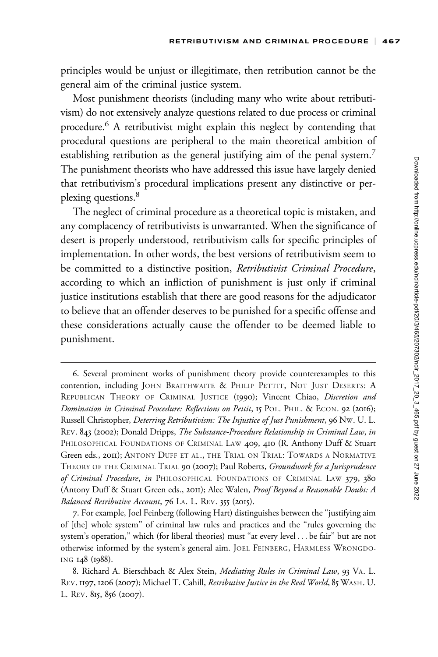principles would be unjust or illegitimate, then retribution cannot be the general aim of the criminal justice system.

Most punishment theorists (including many who write about retributivism) do not extensively analyze questions related to due process or criminal procedure.6 A retributivist might explain this neglect by contending that procedural questions are peripheral to the main theoretical ambition of establishing retribution as the general justifying aim of the penal system.<sup>7</sup> The punishment theorists who have addressed this issue have largely denied that retributivism's procedural implications present any distinctive or perplexing questions.<sup>8</sup>

The neglect of criminal procedure as a theoretical topic is mistaken, and any complacency of retributivists is unwarranted. When the significance of desert is properly understood, retributivism calls for specific principles of implementation. In other words, the best versions of retributivism seem to be committed to a distinctive position, Retributivist Criminal Procedure, according to which an infliction of punishment is just only if criminal justice institutions establish that there are good reasons for the adjudicator to believe that an offender deserves to be punished for a specific offense and these considerations actually cause the offender to be deemed liable to punishment.

<sup>6.</sup> Several prominent works of punishment theory provide counterexamples to this contention, including JOHN BRAITHWAITE & PHILIP PETTIT, NOT JUST DESERTS: A REPUBLICAN THEORY OF CRIMINAL JUSTICE (1990); Vincent Chiao, Discretion and Domination in Criminal Procedure: Reflections on Pettit, 15 POL. PHIL. & ECON. 92 (2016); Russell Christopher, Deterring Retributivism: The Injustice of Just Punishment, 96 NW. U. L. REV. 843 (2002); Donald Dripps, The Substance-Procedure Relationship in Criminal Law, in PHILOSOPHICAL FOUNDATIONS OF CRIMINAL LAW 409, 410 (R. Anthony Duff & Stuart Green eds., 2011); ANTONY DUFF ET AL., THE TRIAL ON TRIAL: TOWARDS A NORMATIVE THEORY OF THE CRIMINAL TRIAL 90 (2007); Paul Roberts, Groundwork for a Jurisprudence of Criminal Procedure, in PHILOSOPHICAL FOUNDATIONS OF CRIMINAL LAW 379, 380 (Antony Duff & Stuart Green eds., 2011); Alec Walen, Proof Beyond a Reasonable Doubt: A Balanced Retributive Account, 76 LA. L. REV. 355 (2015).

<sup>7.</sup> For example, Joel Feinberg (following Hart) distinguishes between the ''justifying aim of [the] whole system'' of criminal law rules and practices and the ''rules governing the system's operation," which (for liberal theories) must "at every level . . . be fair" but are not otherwise informed by the system's general aim. JOEL FEINBERG, HARMLESS WRONGDO-ING 148 (1988).

<sup>8.</sup> Richard A. Bierschbach & Alex Stein, Mediating Rules in Criminal Law, 93 VA. L. REV. 1197, 1206 (2007); Michael T. Cahill, Retributive Justice in the Real World, 85 WASH. U. L. REV. 815, 856 (2007).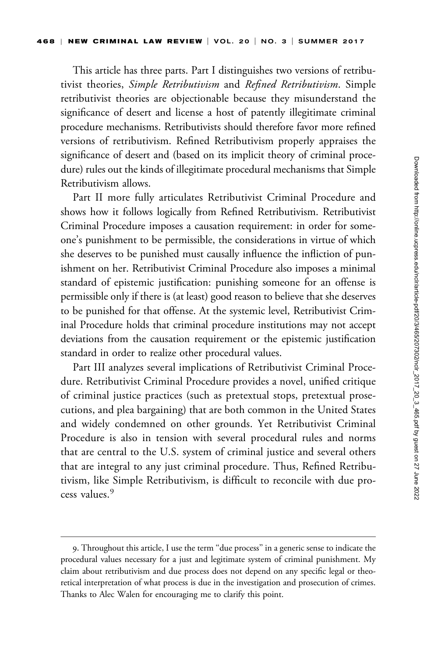This article has three parts. Part I distinguishes two versions of retributivist theories, Simple Retributivism and Refined Retributivism. Simple retributivist theories are objectionable because they misunderstand the significance of desert and license a host of patently illegitimate criminal procedure mechanisms. Retributivists should therefore favor more refined versions of retributivism. Refined Retributivism properly appraises the significance of desert and (based on its implicit theory of criminal procedure) rules out the kinds of illegitimate procedural mechanisms that Simple Retributivism allows.

Part II more fully articulates Retributivist Criminal Procedure and shows how it follows logically from Refined Retributivism. Retributivist Criminal Procedure imposes a causation requirement: in order for someone's punishment to be permissible, the considerations in virtue of which she deserves to be punished must causally influence the infliction of punishment on her. Retributivist Criminal Procedure also imposes a minimal standard of epistemic justification: punishing someone for an offense is permissible only if there is (at least) good reason to believe that she deserves to be punished for that offense. At the systemic level, Retributivist Criminal Procedure holds that criminal procedure institutions may not accept deviations from the causation requirement or the epistemic justification standard in order to realize other procedural values.

Part III analyzes several implications of Retributivist Criminal Procedure. Retributivist Criminal Procedure provides a novel, unified critique of criminal justice practices (such as pretextual stops, pretextual prosecutions, and plea bargaining) that are both common in the United States and widely condemned on other grounds. Yet Retributivist Criminal Procedure is also in tension with several procedural rules and norms that are central to the U.S. system of criminal justice and several others that are integral to any just criminal procedure. Thus, Refined Retributivism, like Simple Retributivism, is difficult to reconcile with due process values.<sup>9</sup>

<sup>9.</sup> Throughout this article, I use the term ''due process'' in a generic sense to indicate the procedural values necessary for a just and legitimate system of criminal punishment. My claim about retributivism and due process does not depend on any specific legal or theoretical interpretation of what process is due in the investigation and prosecution of crimes. Thanks to Alec Walen for encouraging me to clarify this point.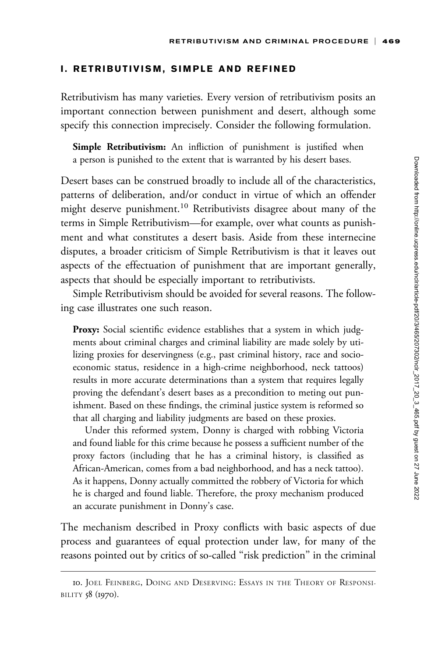## I. RETRIBUTIVISM, SIMPLE AND REFINED

Retributivism has many varieties. Every version of retributivism posits an important connection between punishment and desert, although some specify this connection imprecisely. Consider the following formulation.

Simple Retributivism: An infliction of punishment is justified when a person is punished to the extent that is warranted by his desert bases.

Desert bases can be construed broadly to include all of the characteristics, patterns of deliberation, and/or conduct in virtue of which an offender might deserve punishment.<sup>10</sup> Retributivists disagree about many of the terms in Simple Retributivism—for example, over what counts as punishment and what constitutes a desert basis. Aside from these internecine disputes, a broader criticism of Simple Retributivism is that it leaves out aspects of the effectuation of punishment that are important generally, aspects that should be especially important to retributivists.

Simple Retributivism should be avoided for several reasons. The following case illustrates one such reason.

Proxy: Social scientific evidence establishes that a system in which judgments about criminal charges and criminal liability are made solely by utilizing proxies for deservingness (e.g., past criminal history, race and socioeconomic status, residence in a high-crime neighborhood, neck tattoos) results in more accurate determinations than a system that requires legally proving the defendant's desert bases as a precondition to meting out punishment. Based on these findings, the criminal justice system is reformed so that all charging and liability judgments are based on these proxies.

Under this reformed system, Donny is charged with robbing Victoria and found liable for this crime because he possess a sufficient number of the proxy factors (including that he has a criminal history, is classified as African-American, comes from a bad neighborhood, and has a neck tattoo). As it happens, Donny actually committed the robbery of Victoria for which he is charged and found liable. Therefore, the proxy mechanism produced an accurate punishment in Donny's case.

The mechanism described in Proxy conflicts with basic aspects of due process and guarantees of equal protection under law, for many of the reasons pointed out by critics of so-called "risk prediction" in the criminal

<sup>10.</sup> JOEL FEINBERG, DOING AND DESERVING: ESSAYS IN THE THEORY OF RESPONSI-BILITY 58 (1970).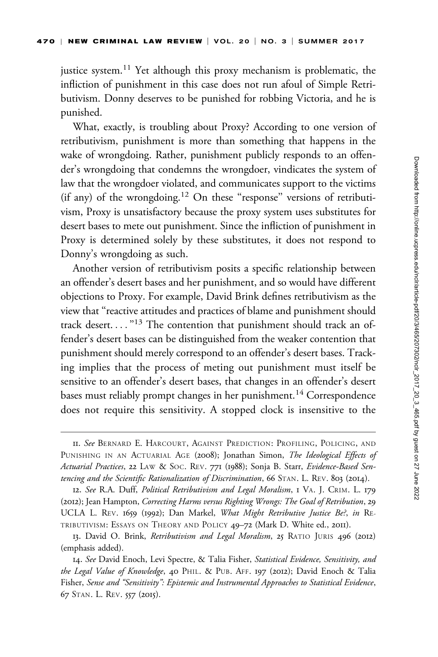justice system.<sup>11</sup> Yet although this proxy mechanism is problematic, the infliction of punishment in this case does not run afoul of Simple Retributivism. Donny deserves to be punished for robbing Victoria, and he is punished.

What, exactly, is troubling about Proxy? According to one version of retributivism, punishment is more than something that happens in the wake of wrongdoing. Rather, punishment publicly responds to an offender's wrongdoing that condemns the wrongdoer, vindicates the system of law that the wrongdoer violated, and communicates support to the victims (if any) of the wrongdoing.<sup>12</sup> On these "response" versions of retributivism, Proxy is unsatisfactory because the proxy system uses substitutes for desert bases to mete out punishment. Since the infliction of punishment in Proxy is determined solely by these substitutes, it does not respond to Donny's wrongdoing as such.

Another version of retributivism posits a specific relationship between an offender's desert bases and her punishment, and so would have different objections to Proxy. For example, David Brink defines retributivism as the view that ''reactive attitudes and practices of blame and punishment should track desert...."<sup>13</sup> The contention that punishment should track an offender's desert bases can be distinguished from the weaker contention that punishment should merely correspond to an offender's desert bases. Tracking implies that the process of meting out punishment must itself be sensitive to an offender's desert bases, that changes in an offender's desert bases must reliably prompt changes in her punishment.<sup>14</sup> Correspondence does not require this sensitivity. A stopped clock is insensitive to the

12. See R.A. Duff, Political Retributivism and Legal Moralism, 1 VA. J. CRIM. L. 179 (2012); Jean Hampton, Correcting Harms versus Righting Wrongs: The Goal of Retribution, 29 UCLA L. REV. 1659 (1992); Dan Markel, What Might Retributive Justice Be?, in RE-TRIBUTIVISM: ESSAYS ON THEORY AND POLICY 49–72 (Mark D. White ed., 2011).

13. David O. Brink, Retributivism and Legal Moralism, 25 RATIO JURIS 496 (2012) (emphasis added).

14. See David Enoch, Levi Spectre, & Talia Fisher, Statistical Evidence, Sensitivity, and the Legal Value of Knowledge, 40 PHIL. & PUB. AFF. 197 (2012); David Enoch & Talia Fisher, Sense and ''Sensitivity'': Epistemic and Instrumental Approaches to Statistical Evidence, 67 STAN. L. REV. 557 (2015).

II. See BERNARD E. HARCOURT, AGAINST PREDICTION: PROFILING, POLICING, AND PUNISHING IN AN ACTUARIAL AGE (2008); Jonathan Simon, The Ideological Effects of Actuarial Practices, 22 LAW & SOC. REV. 771 (1988); Sonja B. Starr, Evidence-Based Sentencing and the Scientific Rationalization of Discrimination, 66 STAN. L. REV. 803 (2014).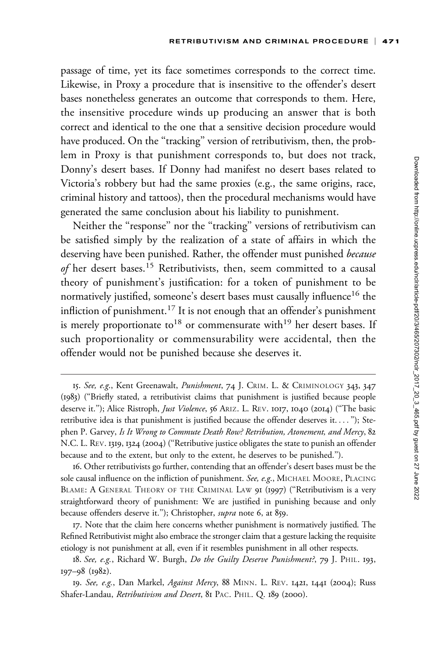passage of time, yet its face sometimes corresponds to the correct time. Likewise, in Proxy a procedure that is insensitive to the offender's desert bases nonetheless generates an outcome that corresponds to them. Here, the insensitive procedure winds up producing an answer that is both correct and identical to the one that a sensitive decision procedure would have produced. On the "tracking" version of retributivism, then, the problem in Proxy is that punishment corresponds to, but does not track, Donny's desert bases. If Donny had manifest no desert bases related to Victoria's robbery but had the same proxies (e.g., the same origins, race, criminal history and tattoos), then the procedural mechanisms would have generated the same conclusion about his liability to punishment.

Neither the "response" nor the "tracking" versions of retributivism can be satisfied simply by the realization of a state of affairs in which the deserving have been punished. Rather, the offender must punished because of her desert bases.<sup>15</sup> Retributivists, then, seem committed to a causal theory of punishment's justification: for a token of punishment to be normatively justified, someone's desert bases must causally influence<sup>16</sup> the infliction of punishment.<sup>17</sup> It is not enough that an offender's punishment is merely proportionate to<sup>18</sup> or commensurate with<sup>19</sup> her desert bases. If such proportionality or commensurability were accidental, then the offender would not be punished because she deserves it.

<sup>15.</sup> See, e.g., Kent Greenawalt, Punishment, 74 J. CRIM. L. & CRIMINOLOGY 343, 347 (1983) (''Briefly stated, a retributivist claims that punishment is justified because people deserve it."); Alice Ristroph, *Just Violence*, 56 ARIZ. L. REV. 1017, 1040 (2014) ("The basic retributive idea is that punishment is justified because the offender deserves it. ... ''); Stephen P. Garvey, Is It Wrong to Commute Death Row? Retribution, Atonement, and Mercy, 82 N.C. L. REV. 1319, 1324 (2004) (''Retributive justice obligates the state to punish an offender because and to the extent, but only to the extent, he deserves to be punished.'').

<sup>16.</sup> Other retributivists go further, contending that an offender's desert bases must be the sole causal influence on the infliction of punishment. See, e.g., MICHAEL MOORE, PLACING BLAME: A GENERAL THEORY OF THE CRIMINAL LAW 91 (1997) ("Retributivism is a very straightforward theory of punishment: We are justified in punishing because and only because offenders deserve it.''); Christopher, supra note 6, at 859.

<sup>17.</sup> Note that the claim here concerns whether punishment is normatively justified. The Refined Retributivist might also embrace the stronger claim that a gesture lacking the requisite etiology is not punishment at all, even if it resembles punishment in all other respects.

<sup>18.</sup> See, e.g., Richard W. Burgh, Do the Guilty Deserve Punishment?, 79 J. PHIL. 193, 197–98 (1982).

<sup>19.</sup> See, e.g., Dan Markel, Against Mercy, 88 MINN. L. REV. 1421, 1441 (2004); Russ Shafer-Landau, Retributivism and Desert, 81 PAC. PHIL. Q. 189 (2000).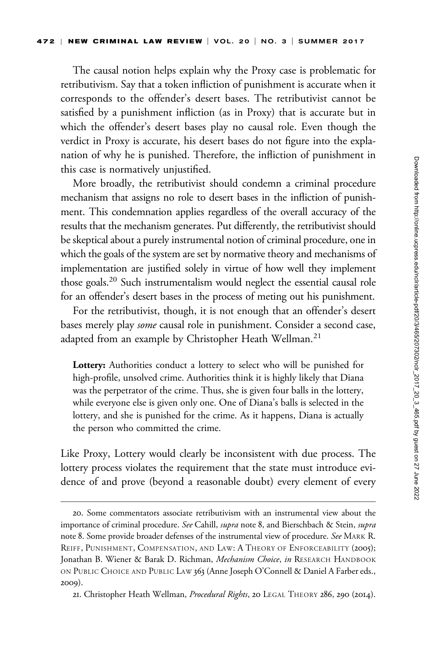The causal notion helps explain why the Proxy case is problematic for retributivism. Say that a token infliction of punishment is accurate when it corresponds to the offender's desert bases. The retributivist cannot be satisfied by a punishment infliction (as in Proxy) that is accurate but in which the offender's desert bases play no causal role. Even though the verdict in Proxy is accurate, his desert bases do not figure into the explanation of why he is punished. Therefore, the infliction of punishment in this case is normatively unjustified.

More broadly, the retributivist should condemn a criminal procedure mechanism that assigns no role to desert bases in the infliction of punishment. This condemnation applies regardless of the overall accuracy of the results that the mechanism generates. Put differently, the retributivist should be skeptical about a purely instrumental notion of criminal procedure, one in which the goals of the system are set by normative theory and mechanisms of implementation are justified solely in virtue of how well they implement those goals.<sup>20</sup> Such instrumentalism would neglect the essential causal role for an offender's desert bases in the process of meting out his punishment.

For the retributivist, though, it is not enough that an offender's desert bases merely play some causal role in punishment. Consider a second case, adapted from an example by Christopher Heath Wellman.<sup>21</sup>

Lottery: Authorities conduct a lottery to select who will be punished for high-profile, unsolved crime. Authorities think it is highly likely that Diana was the perpetrator of the crime. Thus, she is given four balls in the lottery, while everyone else is given only one. One of Diana's balls is selected in the lottery, and she is punished for the crime. As it happens, Diana is actually the person who committed the crime.

Like Proxy, Lottery would clearly be inconsistent with due process. The lottery process violates the requirement that the state must introduce evidence of and prove (beyond a reasonable doubt) every element of every

<sup>20.</sup> Some commentators associate retributivism with an instrumental view about the importance of criminal procedure. See Cahill, supra note 8, and Bierschbach & Stein, supra note 8. Some provide broader defenses of the instrumental view of procedure. See MARK R. REIFF, PUNISHMENT, COMPENSATION, AND LAW: A THEORY OF ENFORCEABILITY (2005); Jonathan B. Wiener & Barak D. Richman, Mechanism Choice, in RESEARCH HANDBOOK ON PUBLIC CHOICE AND PUBLIC LAW 363 (Anne Joseph O'Connell & Daniel A Farber eds., 2009).

<sup>21.</sup> Christopher Heath Wellman, Procedural Rights, 20 LEGAL THEORY 286, 290 (2014).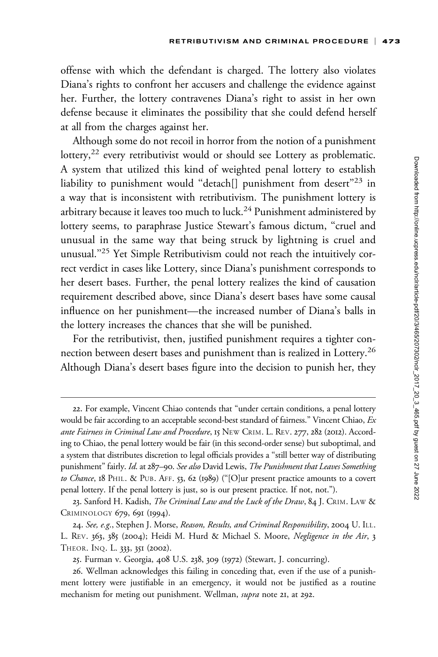offense with which the defendant is charged. The lottery also violates Diana's rights to confront her accusers and challenge the evidence against her. Further, the lottery contravenes Diana's right to assist in her own defense because it eliminates the possibility that she could defend herself at all from the charges against her.

Although some do not recoil in horror from the notion of a punishment lottery,<sup>22</sup> every retributivist would or should see Lottery as problematic. A system that utilized this kind of weighted penal lottery to establish liability to punishment would "detach[] punishment from desert"23 in a way that is inconsistent with retributivism. The punishment lottery is arbitrary because it leaves too much to luck.<sup>24</sup> Punishment administered by lottery seems, to paraphrase Justice Stewart's famous dictum, "cruel and unusual in the same way that being struck by lightning is cruel and unusual.''25 Yet Simple Retributivism could not reach the intuitively correct verdict in cases like Lottery, since Diana's punishment corresponds to her desert bases. Further, the penal lottery realizes the kind of causation requirement described above, since Diana's desert bases have some causal influence on her punishment—the increased number of Diana's balls in the lottery increases the chances that she will be punished.

For the retributivist, then, justified punishment requires a tighter connection between desert bases and punishment than is realized in Lottery.<sup>26</sup> Although Diana's desert bases figure into the decision to punish her, they

<sup>22.</sup> For example, Vincent Chiao contends that ''under certain conditions, a penal lottery would be fair according to an acceptable second-best standard of fairness." Vincent Chiao, Ex ante Fairness in Criminal Law and Procedure, 15 NEW CRIM. L. REV. 277, 282 (2012). According to Chiao, the penal lottery would be fair (in this second-order sense) but suboptimal, and a system that distributes discretion to legal officials provides a ''still better way of distributing punishment" fairly. Id. at 287-90. See also David Lewis, The Punishment that Leaves Something to Chance, 18 PHIL. & PUB. AFF. 53, 62 (1989) ("[O]ur present practice amounts to a covert penal lottery. If the penal lottery is just, so is our present practice. If not, not.'').

<sup>23.</sup> Sanford H. Kadish, The Criminal Law and the Luck of the Draw, 84 J. CRIM. LAW & CRIMINOLOGY 679, 691 (1994).

<sup>24.</sup> See, e.g., Stephen J. Morse, *Reason, Results, and Criminal Responsibility,* 2004 U. ILL. L. REV. 363, 385 (2004); Heidi M. Hurd & Michael S. Moore, Negligence in the Air, 3 THEOR. INQ. L. 333, 351 (2002).

<sup>25.</sup> Furman v. Georgia, 408 U.S. 238, 309 (1972) (Stewart, J. concurring).

<sup>26.</sup> Wellman acknowledges this failing in conceding that, even if the use of a punishment lottery were justifiable in an emergency, it would not be justified as a routine mechanism for meting out punishment. Wellman, *supra* note 21, at 292.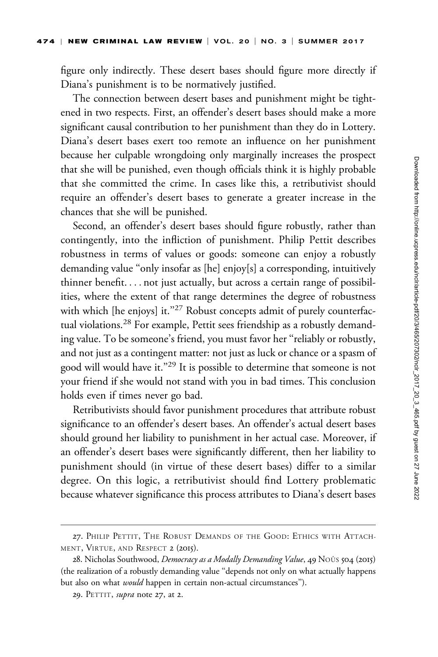figure only indirectly. These desert bases should figure more directly if Diana's punishment is to be normatively justified.

The connection between desert bases and punishment might be tightened in two respects. First, an offender's desert bases should make a more significant causal contribution to her punishment than they do in Lottery. Diana's desert bases exert too remote an influence on her punishment because her culpable wrongdoing only marginally increases the prospect that she will be punished, even though officials think it is highly probable that she committed the crime. In cases like this, a retributivist should require an offender's desert bases to generate a greater increase in the chances that she will be punished.

Second, an offender's desert bases should figure robustly, rather than contingently, into the infliction of punishment. Philip Pettit describes robustness in terms of values or goods: someone can enjoy a robustly demanding value "only insofar as [he] enjoy[s] a corresponding, intuitively thinner benefit. ... not just actually, but across a certain range of possibilities, where the extent of that range determines the degree of robustness with which [he enjoys] it."<sup>27</sup> Robust concepts admit of purely counterfactual violations.<sup>28</sup> For example, Pettit sees friendship as a robustly demanding value. To be someone's friend, you must favor her ''reliably or robustly, and not just as a contingent matter: not just as luck or chance or a spasm of good will would have it.''29 It is possible to determine that someone is not your friend if she would not stand with you in bad times. This conclusion holds even if times never go bad.

Retributivists should favor punishment procedures that attribute robust significance to an offender's desert bases. An offender's actual desert bases should ground her liability to punishment in her actual case. Moreover, if an offender's desert bases were significantly different, then her liability to punishment should (in virtue of these desert bases) differ to a similar degree. On this logic, a retributivist should find Lottery problematic because whatever significance this process attributes to Diana's desert bases

<sup>27.</sup> PHILIP PETTIT, THE ROBUST DEMANDS OF THE GOOD: ETHICS WITH ATTACH-MENT, VIRTUE, AND RESPECT 2 (2015).

<sup>28.</sup> Nicholas Southwood, Democracy as a Modally Demanding Value, 49 N00s 504 (2015) (the realization of a robustly demanding value ''depends not only on what actually happens but also on what *would* happen in certain non-actual circumstances").

<sup>29.</sup> PETTIT, supra note 27, at 2.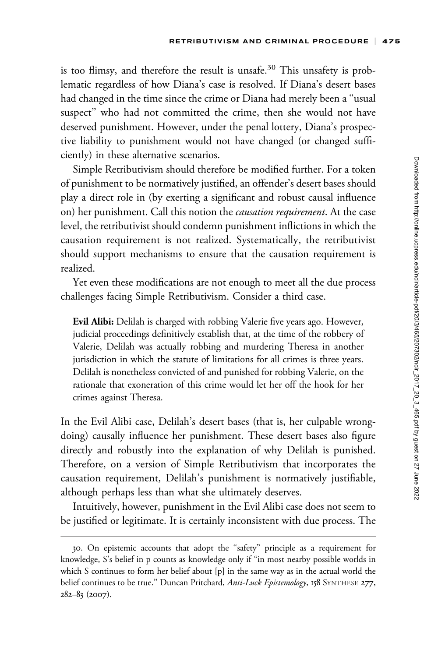is too flimsy, and therefore the result is unsafe.<sup>30</sup> This unsafety is problematic regardless of how Diana's case is resolved. If Diana's desert bases had changed in the time since the crime or Diana had merely been a ''usual suspect'' who had not committed the crime, then she would not have deserved punishment. However, under the penal lottery, Diana's prospective liability to punishment would not have changed (or changed sufficiently) in these alternative scenarios.

Simple Retributivism should therefore be modified further. For a token of punishment to be normatively justified, an offender's desert bases should play a direct role in (by exerting a significant and robust causal influence on) her punishment. Call this notion the causation requirement. At the case level, the retributivist should condemn punishment inflictions in which the causation requirement is not realized. Systematically, the retributivist should support mechanisms to ensure that the causation requirement is realized.

Yet even these modifications are not enough to meet all the due process challenges facing Simple Retributivism. Consider a third case.

Evil Alibi: Delilah is charged with robbing Valerie five years ago. However, judicial proceedings definitively establish that, at the time of the robbery of Valerie, Delilah was actually robbing and murdering Theresa in another jurisdiction in which the statute of limitations for all crimes is three years. Delilah is nonetheless convicted of and punished for robbing Valerie, on the rationale that exoneration of this crime would let her off the hook for her crimes against Theresa.

In the Evil Alibi case, Delilah's desert bases (that is, her culpable wrongdoing) causally influence her punishment. These desert bases also figure directly and robustly into the explanation of why Delilah is punished. Therefore, on a version of Simple Retributivism that incorporates the causation requirement, Delilah's punishment is normatively justifiable, although perhaps less than what she ultimately deserves.

Intuitively, however, punishment in the Evil Alibi case does not seem to be justified or legitimate. It is certainly inconsistent with due process. The

<sup>30.</sup> On epistemic accounts that adopt the ''safety'' principle as a requirement for knowledge, S's belief in p counts as knowledge only if ''in most nearby possible worlds in which S continues to form her belief about [p] in the same way as in the actual world the belief continues to be true." Duncan Pritchard, Anti-Luck Epistemology, 158 SYNTHESE 277, 282–83 (2007).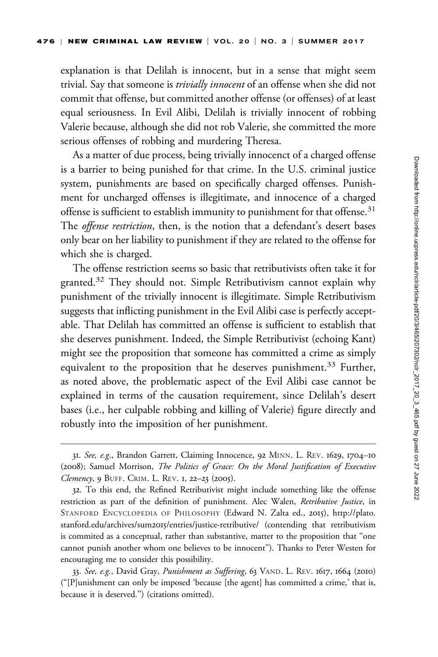explanation is that Delilah is innocent, but in a sense that might seem trivial. Say that someone is *trivially innocent* of an offense when she did not commit that offense, but committed another offense (or offenses) of at least equal seriousness. In Evil Alibi, Delilah is trivially innocent of robbing Valerie because, although she did not rob Valerie, she committed the more serious offenses of robbing and murdering Theresa.

As a matter of due process, being trivially innocenct of a charged offense is a barrier to being punished for that crime. In the U.S. criminal justice system, punishments are based on specifically charged offenses. Punishment for uncharged offenses is illegitimate, and innocence of a charged offense is sufficient to establish immunity to punishment for that offense.<sup>31</sup> The *offense restriction*, then, is the notion that a defendant's desert bases only bear on her liability to punishment if they are related to the offense for which she is charged.

The offense restriction seems so basic that retributivists often take it for granted.<sup>32</sup> They should not. Simple Retributivism cannot explain why punishment of the trivially innocent is illegitimate. Simple Retributivism suggests that inflicting punishment in the Evil Alibi case is perfectly acceptable. That Delilah has committed an offense is sufficient to establish that she deserves punishment. Indeed, the Simple Retributivist (echoing Kant) might see the proposition that someone has committed a crime as simply equivalent to the proposition that he deserves punishment.<sup>33</sup> Further, as noted above, the problematic aspect of the Evil Alibi case cannot be explained in terms of the causation requirement, since Delilah's desert bases (i.e., her culpable robbing and killing of Valerie) figure directly and robustly into the imposition of her punishment.

<sup>31.</sup> See, e.g., Brandon Garrett, Claiming Innocence, 92 MINN. L. REV. 1629, 1704–10 (2008); Samuel Morrison, The Politics of Grace: On the Moral Justification of Executive Clemency, 9 BUFF. CRIM. L. REV. 1, 22-23 (2005).

<sup>32.</sup> To this end, the Refined Retributivist might include something like the offense restriction as part of the definition of punishment. Alec Walen, Retributive Justice, in STANFORD ENCYCLOPEDIA OF PHILOSOPHY (Edward N. Zalta ed., 2015), [http://plato.](http://plato.stanford.edu/archives/sum2015/entries/justice-retributive/) stanford.edu/archives/sum2015[/entries/justice-retributive/](http://plato.stanford.edu/archives/sum2015/entries/justice-retributive/) (contending that retributivism is commited as a conceptual, rather than substantive, matter to the proposition that ''one cannot punish another whom one believes to be innocent''). Thanks to Peter Westen for encouraging me to consider this possibility.

<sup>33.</sup> See, e.g., David Gray, Punishment as Suffering, 63 VAND. L. REV. 1617, 1664 (2010) (''[P]unishment can only be imposed 'because [the agent] has committed a crime,' that is, because it is deserved.'') (citations omitted).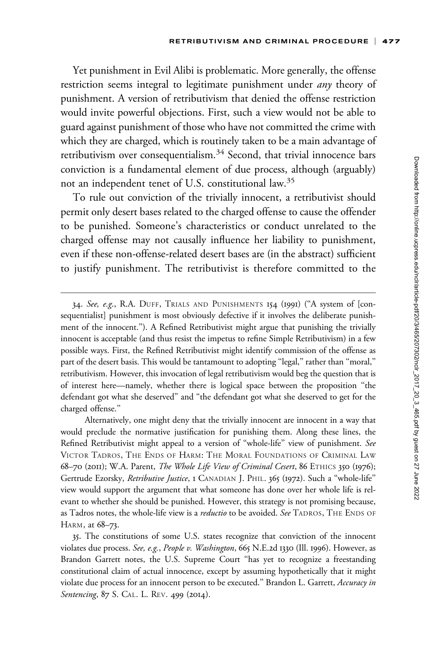Yet punishment in Evil Alibi is problematic. More generally, the offense restriction seems integral to legitimate punishment under *any* theory of punishment. A version of retributivism that denied the offense restriction would invite powerful objections. First, such a view would not be able to guard against punishment of those who have not committed the crime with which they are charged, which is routinely taken to be a main advantage of retributivism over consequentialism.<sup>34</sup> Second, that trivial innocence bars conviction is a fundamental element of due process, although (arguably) not an independent tenet of U.S. constitutional law.<sup>35</sup>

To rule out conviction of the trivially innocent, a retributivist should permit only desert bases related to the charged offense to cause the offender to be punished. Someone's characteristics or conduct unrelated to the charged offense may not causally influence her liability to punishment, even if these non-offense-related desert bases are (in the abstract) sufficient to justify punishment. The retributivist is therefore committed to the

<sup>34.</sup> See, e.g., R.A. DUFF, TRIALS AND PUNISHMENTS 154 (1991) (''A system of [consequentialist] punishment is most obviously defective if it involves the deliberate punishment of the innocent.''). A Refined Retributivist might argue that punishing the trivially innocent is acceptable (and thus resist the impetus to refine Simple Retributivism) in a few possible ways. First, the Refined Retributivist might identify commission of the offense as part of the desert basis. This would be tantamount to adopting "legal," rather than "moral," retributivism. However, this invocation of legal retributivism would beg the question that is of interest here—namely, whether there is logical space between the proposition ''the defendant got what she deserved'' and ''the defendant got what she deserved to get for the charged offense.''

Alternatively, one might deny that the trivially innocent are innocent in a way that would preclude the normative justification for punishing them. Along these lines, the Refined Retributivist might appeal to a version of ''whole-life'' view of punishment. See VICTOR TADROS, THE ENDS OF HARM: THE MORAL FOUNDATIONS OF CRIMINAL LAW 68–70 (2011); W.A. Parent, The Whole Life View of Criminal Cesert, 86 ETHICS 350 (1976); Gertrude Ezorsky, Retributive Justice, 1 CANADIAN J. PHIL. 365 (1972). Such a "whole-life" view would support the argument that what someone has done over her whole life is relevant to whether she should be punished. However, this strategy is not promising because, as Tadros notes, the whole-life view is a *reductio* to be avoided. See TADROS, THE ENDS OF HARM, at 68–73.

<sup>35.</sup> The constitutions of some U.S. states recognize that conviction of the innocent violates due process. See, e.g., People v. Washington, 665 N.E.2d 1330 (Ill. 1996). However, as Brandon Garrett notes, the U.S. Supreme Court ''has yet to recognize a freestanding constitutional claim of actual innocence, except by assuming hypothetically that it might violate due process for an innocent person to be executed." Brandon L. Garrett, Accuracy in Sentencing, 87 S. CAL. L. REV. 499 (2014).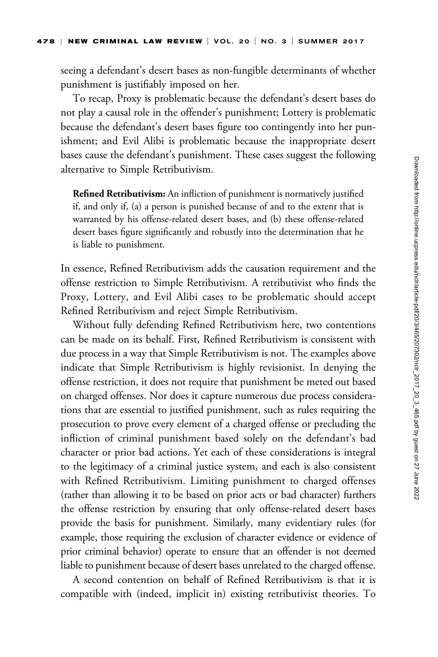seeing a defendant's desert bases as non-fungible determinants of whether punishment is justifiably imposed on her.

To recap, Proxy is problematic because the defendant's desert bases do not play a causal role in the offender's punishment; Lottery is problematic because the defendant's desert bases figure too contingently into her punishment; and Evil Alibi is problematic because the inappropriate desert bases cause the defendant's punishment. These cases suggest the following alternative to Simple Retributivism.

Refined Retributivism: An infliction of punishment is normatively justified if, and only if, (a) a person is punished because of and to the extent that is warranted by his offense-related desert bases, and (b) these offense-related desert bases figure significantly and robustly into the determination that he is liable to punishment.

In essence, Refined Retributivism adds the causation requirement and the offense restriction to Simple Retributivism. A retributivist who finds the Proxy, Lottery, and Evil Alibi cases to be problematic should accept Refined Retributivism and reject Simple Retributivism.

Without fully defending Refined Retributivism here, two contentions can be made on its behalf. First, Refined Retributivism is consistent with due process in a way that Simple Retributivism is not. The examples above indicate that Simple Retributivism is highly revisionist. In denying the offense restriction, it does not require that punishment be meted out based on charged offenses. Nor does it capture numerous due process considerations that are essential to justified punishment, such as rules requiring the prosecution to prove every element of a charged offense or precluding the infliction of criminal punishment based solely on the defendant's bad character or prior bad actions. Yet each of these considerations is integral to the legitimacy of a criminal justice system, and each is also consistent with Refined Retributivism. Limiting punishment to charged offenses (rather than allowing it to be based on prior acts or bad character) furthers the offense restriction by ensuring that only offense-related desert bases provide the basis for punishment. Similarly, many evidentiary rules (for example, those requiring the exclusion of character evidence or evidence of prior criminal behavior) operate to ensure that an offender is not deemed liable to punishment because of desert bases unrelated to the charged offense.

A second contention on behalf of Refined Retributivism is that it is compatible with (indeed, implicit in) existing retributivist theories. To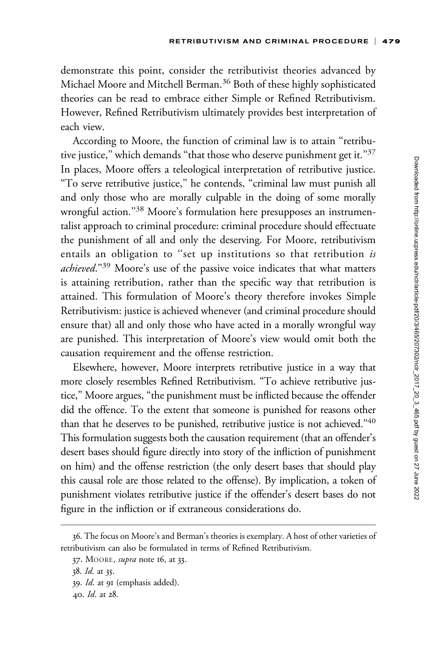demonstrate this point, consider the retributivist theories advanced by Michael Moore and Mitchell Berman.<sup>36</sup> Both of these highly sophisticated theories can be read to embrace either Simple or Refined Retributivism. However, Refined Retributivism ultimately provides best interpretation of each view.

According to Moore, the function of criminal law is to attain ''retributive justice," which demands "that those who deserve punishment get it."<sup>37</sup> In places, Moore offers a teleological interpretation of retributive justice. ''To serve retributive justice,'' he contends, ''criminal law must punish all and only those who are morally culpable in the doing of some morally wrongful action."<sup>38</sup> Moore's formulation here presupposes an instrumentalist approach to criminal procedure: criminal procedure should effectuate the punishment of all and only the deserving. For Moore, retributivism entails an obligation to "set up institutions so that retribution is achieved."<sup>39</sup> Moore's use of the passive voice indicates that what matters is attaining retribution, rather than the specific way that retribution is attained. This formulation of Moore's theory therefore invokes Simple Retributivism: justice is achieved whenever (and criminal procedure should ensure that) all and only those who have acted in a morally wrongful way are punished. This interpretation of Moore's view would omit both the causation requirement and the offense restriction.

Elsewhere, however, Moore interprets retributive justice in a way that more closely resembles Refined Retributivism. ''To achieve retributive justice,'' Moore argues, ''the punishment must be inflicted because the offender did the offence. To the extent that someone is punished for reasons other than that he deserves to be punished, retributive justice is not achieved.''40 This formulation suggests both the causation requirement (that an offender's desert bases should figure directly into story of the infliction of punishment on him) and the offense restriction (the only desert bases that should play this causal role are those related to the offense). By implication, a token of punishment violates retributive justice if the offender's desert bases do not figure in the infliction or if extraneous considerations do.

<sup>36.</sup> The focus on Moore's and Berman's theories is exemplary. A host of other varieties of retributivism can also be formulated in terms of Refined Retributivism.

<sup>37.</sup> MOORE, supra note 16, at 33.

<sup>38.</sup> Id. at 35.

<sup>39.</sup> Id. at 91 (emphasis added).

<sup>40.</sup> Id. at 28.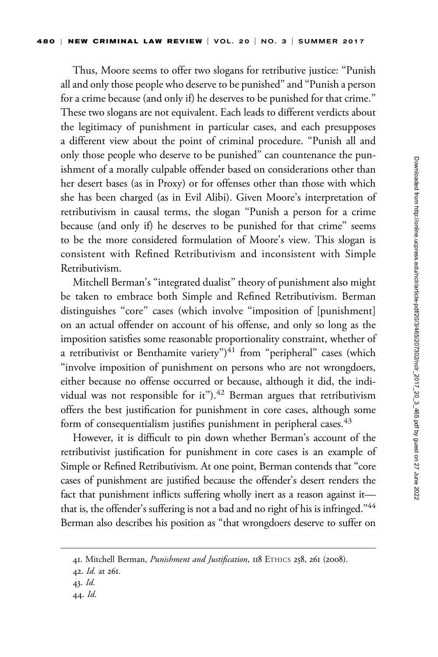Thus, Moore seems to offer two slogans for retributive justice: ''Punish all and only those people who deserve to be punished'' and ''Punish a person for a crime because (and only if) he deserves to be punished for that crime.'' These two slogans are not equivalent. Each leads to different verdicts about the legitimacy of punishment in particular cases, and each presupposes a different view about the point of criminal procedure. ''Punish all and only those people who deserve to be punished'' can countenance the punishment of a morally culpable offender based on considerations other than her desert bases (as in Proxy) or for offenses other than those with which she has been charged (as in Evil Alibi). Given Moore's interpretation of retributivism in causal terms, the slogan ''Punish a person for a crime because (and only if) he deserves to be punished for that crime'' seems to be the more considered formulation of Moore's view. This slogan is consistent with Refined Retributivism and inconsistent with Simple Retributivism.

Mitchell Berman's ''integrated dualist'' theory of punishment also might be taken to embrace both Simple and Refined Retributivism. Berman distinguishes "core" cases (which involve "imposition of [punishment] on an actual offender on account of his offense, and only so long as the imposition satisfies some reasonable proportionality constraint, whether of a retributivist or Benthamite variety") $41$  from "peripheral" cases (which "involve imposition of punishment on persons who are not wrongdoers, either because no offense occurred or because, although it did, the individual was not responsible for it"). $42$  Berman argues that retributivism offers the best justification for punishment in core cases, although some form of consequentialism justifies punishment in peripheral cases.<sup>43</sup>

However, it is difficult to pin down whether Berman's account of the retributivist justification for punishment in core cases is an example of Simple or Refined Retributivism. At one point, Berman contends that ''core cases of punishment are justified because the offender's desert renders the fact that punishment inflicts suffering wholly inert as a reason against it that is, the offender's suffering is not a bad and no right of his is infringed."<sup>44</sup> Berman also describes his position as ''that wrongdoers deserve to suffer on

<sup>41.</sup> Mitchell Berman, Punishment and Justification, 118 ETHICS 258, 261 (2008).

<sup>42.</sup> Id. at 261.

<sup>43.</sup> Id.

<sup>44.</sup> Id.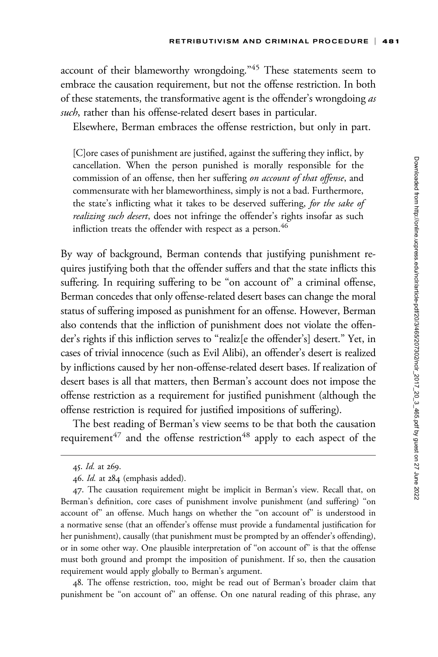account of their blameworthy wrongdoing."<sup>45</sup> These statements seem to embrace the causation requirement, but not the offense restriction. In both of these statements, the transformative agent is the offender's wrongdoing as such, rather than his offense-related desert bases in particular.

Elsewhere, Berman embraces the offense restriction, but only in part.

[C]ore cases of punishment are justified, against the suffering they inflict, by cancellation. When the person punished is morally responsible for the commission of an offense, then her suffering on account of that offense, and commensurate with her blameworthiness, simply is not a bad. Furthermore, the state's inflicting what it takes to be deserved suffering, for the sake of realizing such desert, does not infringe the offender's rights insofar as such infliction treats the offender with respect as a person.<sup>46</sup>

By way of background, Berman contends that justifying punishment requires justifying both that the offender suffers and that the state inflicts this suffering. In requiring suffering to be "on account of" a criminal offense, Berman concedes that only offense-related desert bases can change the moral status of suffering imposed as punishment for an offense. However, Berman also contends that the infliction of punishment does not violate the offender's rights if this infliction serves to "realiz[e the offender's] desert." Yet, in cases of trivial innocence (such as Evil Alibi), an offender's desert is realized by inflictions caused by her non-offense-related desert bases. If realization of desert bases is all that matters, then Berman's account does not impose the offense restriction as a requirement for justified punishment (although the offense restriction is required for justified impositions of suffering).

The best reading of Berman's view seems to be that both the causation requirement<sup>47</sup> and the offense restriction<sup>48</sup> apply to each aspect of the

48. The offense restriction, too, might be read out of Berman's broader claim that punishment be "on account of" an offense. On one natural reading of this phrase, any

<sup>45.</sup> Id. at 269.

<sup>46.</sup> Id. at 284 (emphasis added).

<sup>47.</sup> The causation requirement might be implicit in Berman's view. Recall that, on Berman's definition, core cases of punishment involve punishment (and suffering) ''on account of'' an offense. Much hangs on whether the ''on account of'' is understood in a normative sense (that an offender's offense must provide a fundamental justification for her punishment), causally (that punishment must be prompted by an offender's offending), or in some other way. One plausible interpretation of "on account of" is that the offense must both ground and prompt the imposition of punishment. If so, then the causation requirement would apply globally to Berman's argument.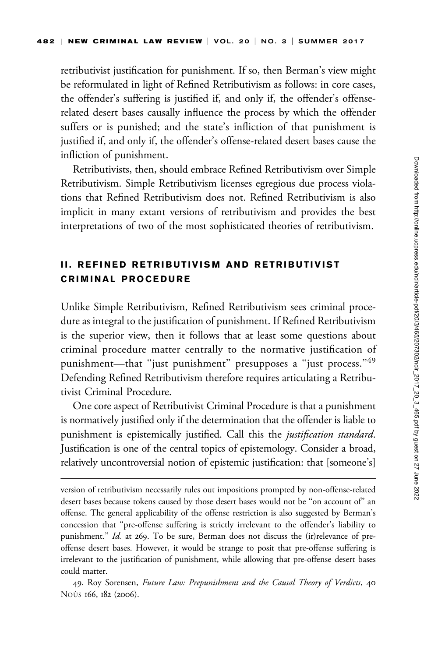retributivist justification for punishment. If so, then Berman's view might be reformulated in light of Refined Retributivism as follows: in core cases, the offender's suffering is justified if, and only if, the offender's offenserelated desert bases causally influence the process by which the offender suffers or is punished; and the state's infliction of that punishment is justified if, and only if, the offender's offense-related desert bases cause the infliction of punishment.

Retributivists, then, should embrace Refined Retributivism over Simple Retributivism. Simple Retributivism licenses egregious due process violations that Refined Retributivism does not. Refined Retributivism is also implicit in many extant versions of retributivism and provides the best interpretations of two of the most sophisticated theories of retributivism.

# II. REFINED RETRIBUTIVISM AND RETRIBUTIVIST CRIMINAL PROCEDURE

Unlike Simple Retributivism, Refined Retributivism sees criminal procedure as integral to the justification of punishment. If Refined Retributivism is the superior view, then it follows that at least some questions about criminal procedure matter centrally to the normative justification of punishment—that "just punishment" presupposes a "just process."49 Defending Refined Retributivism therefore requires articulating a Retributivist Criminal Procedure.

One core aspect of Retributivist Criminal Procedure is that a punishment is normatively justified only if the determination that the offender is liable to punishment is epistemically justified. Call this the *justification standard*. Justification is one of the central topics of epistemology. Consider a broad, relatively uncontroversial notion of epistemic justification: that [someone's]

version of retributivism necessarily rules out impositions prompted by non-offense-related desert bases because tokens caused by those desert bases would not be ''on account of'' an offense. The general applicability of the offense restriction is also suggested by Berman's concession that ''pre-offense suffering is strictly irrelevant to the offender's liability to punishment." Id. at 269. To be sure, Berman does not discuss the (ir)relevance of preoffense desert bases. However, it would be strange to posit that pre-offense suffering is irrelevant to the justification of punishment, while allowing that pre-offense desert bases could matter.

<sup>49.</sup> Roy Sorensen, Future Law: Prepunishment and the Causal Theory of Verdicts, 40 Noùs 166, 182 (2006).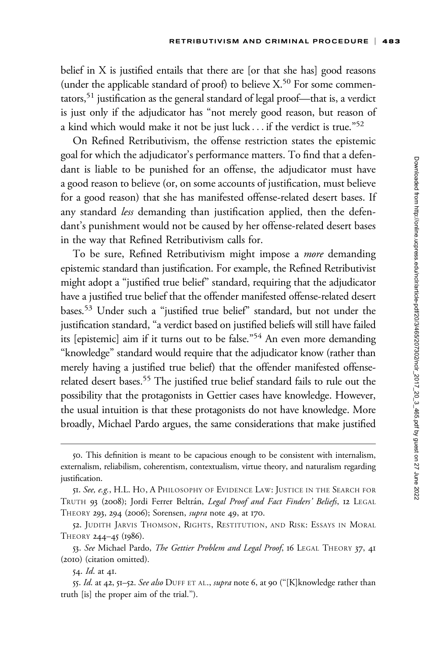belief in X is justified entails that there are [or that she has] good reasons (under the applicable standard of proof) to believe  $X$ <sup>50</sup> For some commentators,51 justification as the general standard of legal proof—that is, a verdict is just only if the adjudicator has ''not merely good reason, but reason of a kind which would make it not be just luck  $\ldots$  if the verdict is true."<sup>52</sup>

On Refined Retributivism, the offense restriction states the epistemic goal for which the adjudicator's performance matters. To find that a defendant is liable to be punished for an offense, the adjudicator must have a good reason to believe (or, on some accounts of justification, must believe for a good reason) that she has manifested offense-related desert bases. If any standard less demanding than justification applied, then the defendant's punishment would not be caused by her offense-related desert bases in the way that Refined Retributivism calls for.

To be sure, Refined Retributivism might impose a more demanding epistemic standard than justification. For example, the Refined Retributivist might adopt a ''justified true belief'' standard, requiring that the adjudicator have a justified true belief that the offender manifested offense-related desert bases.53 Under such a ''justified true belief'' standard, but not under the justification standard, ''a verdict based on justified beliefs will still have failed its [epistemic] aim if it turns out to be false."<sup>54</sup> An even more demanding ''knowledge'' standard would require that the adjudicator know (rather than merely having a justified true belief) that the offender manifested offenserelated desert bases.<sup>55</sup> The justified true belief standard fails to rule out the possibility that the protagonists in Gettier cases have knowledge. However, the usual intuition is that these protagonists do not have knowledge. More broadly, Michael Pardo argues, the same considerations that make justified

<sup>50.</sup> This definition is meant to be capacious enough to be consistent with internalism, externalism, reliabilism, coherentism, contextualism, virtue theory, and naturalism regarding justification.

<sup>51.</sup> See, e.g., H.L. HO, A PHILOSOPHY OF EVIDENCE LAW: JUSTICE IN THE SEARCH FOR TRUTH 93 (2008); Jordi Ferrer Beltrán, Legal Proof and Fact Finders' Beliefs, 12 LEGAL THEORY 293, 294 (2006); Sorensen, *supra* note 49, at 170.

<sup>52.</sup> JUDITH JARVIS THOMSON, RIGHTS, RESTITUTION, AND RISK: ESSAYS IN MORAL THEORY 244–45 (1986).

<sup>53.</sup> See Michael Pardo, The Gettier Problem and Legal Proof, 16 LEGAL THEORY 37, 41 (2010) (citation omitted).

<sup>54.</sup> *Id.* at 41.

<sup>55.</sup> Id. at 42, 51-52. See also DUFF ET AL., supra note 6, at 90 ("[K]knowledge rather than truth [is] the proper aim of the trial.'').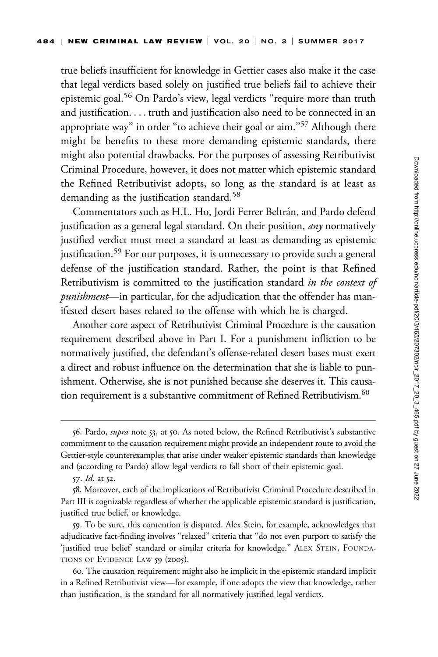true beliefs insufficient for knowledge in Gettier cases also make it the case that legal verdicts based solely on justified true beliefs fail to achieve their epistemic goal.<sup>56</sup> On Pardo's view, legal verdicts "require more than truth and justification. ... truth and justification also need to be connected in an appropriate way" in order "to achieve their goal or aim."<sup>57</sup> Although there might be benefits to these more demanding epistemic standards, there might also potential drawbacks. For the purposes of assessing Retributivist Criminal Procedure, however, it does not matter which epistemic standard the Refined Retributivist adopts, so long as the standard is at least as demanding as the justification standard.<sup>58</sup>

Commentators such as H.L. Ho, Jordi Ferrer Beltrán, and Pardo defend justification as a general legal standard. On their position, *any* normatively justified verdict must meet a standard at least as demanding as epistemic justification.<sup>59</sup> For our purposes, it is unnecessary to provide such a general defense of the justification standard. Rather, the point is that Refined Retributivism is committed to the justification standard in the context of punishment—in particular, for the adjudication that the offender has manifested desert bases related to the offense with which he is charged.

Another core aspect of Retributivist Criminal Procedure is the causation requirement described above in Part I. For a punishment infliction to be normatively justified, the defendant's offense-related desert bases must exert a direct and robust influence on the determination that she is liable to punishment. Otherwise, she is not punished because she deserves it. This causation requirement is a substantive commitment of Refined Retributivism.<sup>60</sup>

59. To be sure, this contention is disputed. Alex Stein, for example, acknowledges that adjudicative fact-finding involves ''relaxed'' criteria that ''do not even purport to satisfy the 'justified true belief' standard or similar criteria for knowledge.'' ALEX STEIN, FOUNDA-TIONS OF EVIDENCE LAW 59 (2005).

<sup>56.</sup> Pardo, supra note 53, at 50. As noted below, the Refined Retributivist's substantive commitment to the causation requirement might provide an independent route to avoid the Gettier-style counterexamples that arise under weaker epistemic standards than knowledge and (according to Pardo) allow legal verdicts to fall short of their epistemic goal.

<sup>57.</sup> Id. at 52.

<sup>58.</sup> Moreover, each of the implications of Retributivist Criminal Procedure described in Part III is cognizable regardless of whether the applicable epistemic standard is justification, justified true belief, or knowledge.

<sup>60.</sup> The causation requirement might also be implicit in the epistemic standard implicit in a Refined Retributivist view—for example, if one adopts the view that knowledge, rather than justification, is the standard for all normatively justified legal verdicts.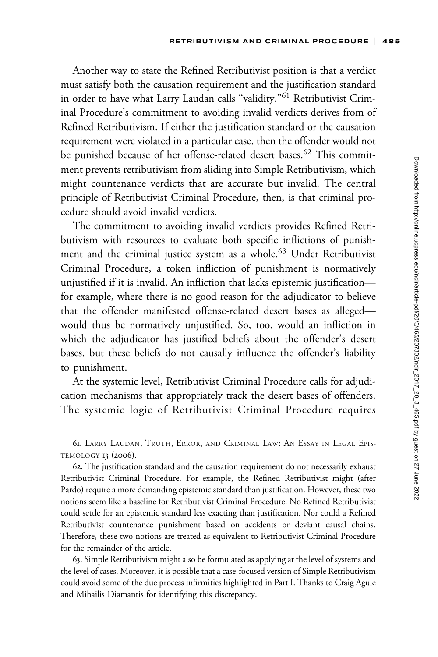Another way to state the Refined Retributivist position is that a verdict must satisfy both the causation requirement and the justification standard in order to have what Larry Laudan calls "validity."<sup>61</sup> Retributivist Criminal Procedure's commitment to avoiding invalid verdicts derives from of Refined Retributivism. If either the justification standard or the causation requirement were violated in a particular case, then the offender would not be punished because of her offense-related desert bases.<sup>62</sup> This commitment prevents retributivism from sliding into Simple Retributivism, which might countenance verdicts that are accurate but invalid. The central principle of Retributivist Criminal Procedure, then, is that criminal procedure should avoid invalid verdicts.

The commitment to avoiding invalid verdicts provides Refined Retributivism with resources to evaluate both specific inflictions of punishment and the criminal justice system as a whole.<sup>63</sup> Under Retributivist Criminal Procedure, a token infliction of punishment is normatively unjustified if it is invalid. An infliction that lacks epistemic justification for example, where there is no good reason for the adjudicator to believe that the offender manifested offense-related desert bases as alleged would thus be normatively unjustified. So, too, would an infliction in which the adjudicator has justified beliefs about the offender's desert bases, but these beliefs do not causally influence the offender's liability to punishment.

At the systemic level, Retributivist Criminal Procedure calls for adjudication mechanisms that appropriately track the desert bases of offenders. The systemic logic of Retributivist Criminal Procedure requires

63. Simple Retributivism might also be formulated as applying at the level of systems and the level of cases. Moreover, it is possible that a case-focused version of Simple Retributivism could avoid some of the due process infirmities highlighted in Part I. Thanks to Craig Agule and Mihailis Diamantis for identifying this discrepancy.

<sup>61.</sup> LARRY LAUDAN, TRUTH, ERROR, AND CRIMINAL LAW: AN ESSAY IN LEGAL EPIS-TEMOLOGY 13 (2006).

<sup>62.</sup> The justification standard and the causation requirement do not necessarily exhaust Retributivist Criminal Procedure. For example, the Refined Retributivist might (after Pardo) require a more demanding epistemic standard than justification. However, these two notions seem like a baseline for Retributivist Criminal Procedure. No Refined Retributivist could settle for an epistemic standard less exacting than justification. Nor could a Refined Retributivist countenance punishment based on accidents or deviant causal chains. Therefore, these two notions are treated as equivalent to Retributivist Criminal Procedure for the remainder of the article.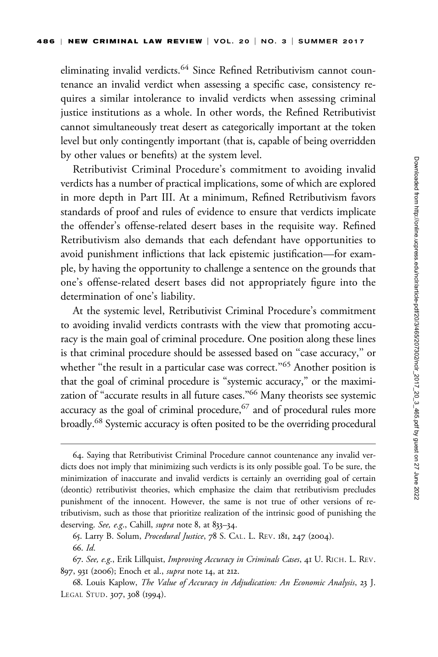eliminating invalid verdicts.<sup>64</sup> Since Refined Retributivism cannot countenance an invalid verdict when assessing a specific case, consistency requires a similar intolerance to invalid verdicts when assessing criminal justice institutions as a whole. In other words, the Refined Retributivist cannot simultaneously treat desert as categorically important at the token level but only contingently important (that is, capable of being overridden by other values or benefits) at the system level.

Retributivist Criminal Procedure's commitment to avoiding invalid verdicts has a number of practical implications, some of which are explored in more depth in Part III. At a minimum, Refined Retributivism favors standards of proof and rules of evidence to ensure that verdicts implicate the offender's offense-related desert bases in the requisite way. Refined Retributivism also demands that each defendant have opportunities to avoid punishment inflictions that lack epistemic justification—for example, by having the opportunity to challenge a sentence on the grounds that one's offense-related desert bases did not appropriately figure into the determination of one's liability.

At the systemic level, Retributivist Criminal Procedure's commitment to avoiding invalid verdicts contrasts with the view that promoting accuracy is the main goal of criminal procedure. One position along these lines is that criminal procedure should be assessed based on ''case accuracy,'' or whether "the result in a particular case was correct."<sup>65</sup> Another position is that the goal of criminal procedure is ''systemic accuracy,'' or the maximization of "accurate results in all future cases."<sup>66</sup> Many theorists see systemic accuracy as the goal of criminal procedure, $67$  and of procedural rules more broadly.68 Systemic accuracy is often posited to be the overriding procedural

<sup>64.</sup> Saying that Retributivist Criminal Procedure cannot countenance any invalid verdicts does not imply that minimizing such verdicts is its only possible goal. To be sure, the minimization of inaccurate and invalid verdicts is certainly an overriding goal of certain (deontic) retributivist theories, which emphasize the claim that retributivism precludes punishment of the innocent. However, the same is not true of other versions of retributivism, such as those that prioritize realization of the intrinsic good of punishing the deserving. See, e.g., Cahill, *supra* note 8, at 833–34.

<sup>65.</sup> Larry B. Solum, Procedural Justice, 78 S. CAL. L. REV. 181, 247 (2004). 66. Id.

<sup>67.</sup> See, e.g., Erik Lillquist, Improving Accuracy in Criminals Cases, 41 U. RICH. L. REV. 897, 931 (2006); Enoch et al., supra note 14, at 212.

<sup>68.</sup> Louis Kaplow, The Value of Accuracy in Adjudication: An Economic Analysis, 23 J. LEGAL STUD. 307, 308 (1994).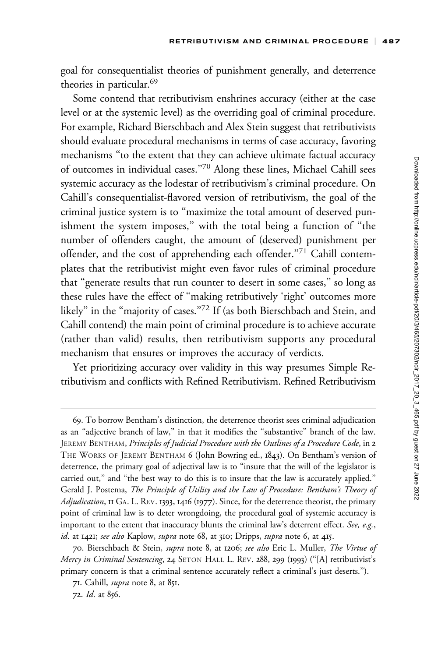goal for consequentialist theories of punishment generally, and deterrence theories in particular.<sup>69</sup>

Some contend that retributivism enshrines accuracy (either at the case level or at the systemic level) as the overriding goal of criminal procedure. For example, Richard Bierschbach and Alex Stein suggest that retributivists should evaluate procedural mechanisms in terms of case accuracy, favoring mechanisms ''to the extent that they can achieve ultimate factual accuracy of outcomes in individual cases.''70 Along these lines, Michael Cahill sees systemic accuracy as the lodestar of retributivism's criminal procedure. On Cahill's consequentialist-flavored version of retributivism, the goal of the criminal justice system is to ''maximize the total amount of deserved punishment the system imposes,'' with the total being a function of ''the number of offenders caught, the amount of (deserved) punishment per offender, and the cost of apprehending each offender."<sup>71</sup> Cahill contemplates that the retributivist might even favor rules of criminal procedure that ''generate results that run counter to desert in some cases,'' so long as these rules have the effect of ''making retributively 'right' outcomes more likely" in the "majority of cases."<sup>72</sup> If (as both Bierschbach and Stein, and Cahill contend) the main point of criminal procedure is to achieve accurate (rather than valid) results, then retributivism supports any procedural mechanism that ensures or improves the accuracy of verdicts.

Yet prioritizing accuracy over validity in this way presumes Simple Retributivism and conflicts with Refined Retributivism. Refined Retributivism

<sup>69.</sup> To borrow Bentham's distinction, the deterrence theorist sees criminal adjudication as an ''adjective branch of law,'' in that it modifies the ''substantive'' branch of the law. JEREMY BENTHAM, Principles of Judicial Procedure with the Outlines of a Procedure Code, in 2 THE WORKS OF JEREMY BENTHAM 6 (John Bowring ed., 1843). On Bentham's version of deterrence, the primary goal of adjectival law is to ''insure that the will of the legislator is carried out," and "the best way to do this is to insure that the law is accurately applied." Gerald J. Postema, The Principle of Utility and the Law of Procedure: Bentham's Theory of Adjudication, II GA. L. REV. 1393, 1416 (1977). Since, for the deterrence theorist, the primary point of criminal law is to deter wrongdoing, the procedural goal of systemic accuracy is important to the extent that inaccuracy blunts the criminal law's deterrent effect. See, e.g., id. at 1421; see also Kaplow, supra note 68, at 310; Dripps, supra note 6, at 415.

<sup>70.</sup> Bierschbach & Stein, supra note 8, at 1206; see also Eric L. Muller, The Virtue of Mercy in Criminal Sentencing, 24 SETON HALL L. REV. 288, 299 (1993) ("[A] retributivist's primary concern is that a criminal sentence accurately reflect a criminal's just deserts.'').

<sup>71.</sup> Cahill, supra note 8, at 851.

<sup>72.</sup> Id. at 856.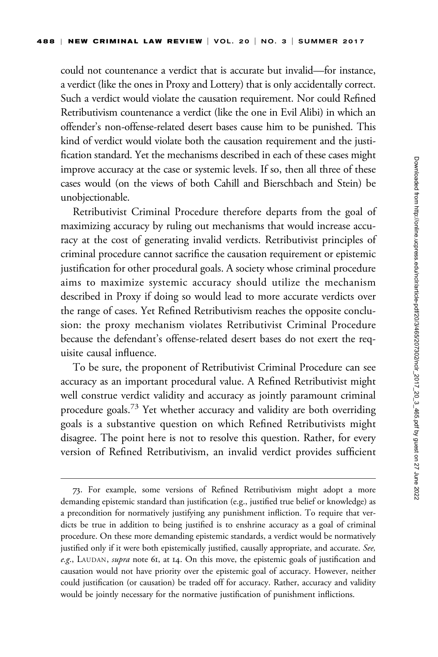could not countenance a verdict that is accurate but invalid—for instance, a verdict (like the ones in Proxy and Lottery) that is only accidentally correct. Such a verdict would violate the causation requirement. Nor could Refined Retributivism countenance a verdict (like the one in Evil Alibi) in which an offender's non-offense-related desert bases cause him to be punished. This kind of verdict would violate both the causation requirement and the justification standard. Yet the mechanisms described in each of these cases might improve accuracy at the case or systemic levels. If so, then all three of these cases would (on the views of both Cahill and Bierschbach and Stein) be unobjectionable.

Retributivist Criminal Procedure therefore departs from the goal of maximizing accuracy by ruling out mechanisms that would increase accuracy at the cost of generating invalid verdicts. Retributivist principles of criminal procedure cannot sacrifice the causation requirement or epistemic justification for other procedural goals. A society whose criminal procedure aims to maximize systemic accuracy should utilize the mechanism described in Proxy if doing so would lead to more accurate verdicts over the range of cases. Yet Refined Retributivism reaches the opposite conclusion: the proxy mechanism violates Retributivist Criminal Procedure because the defendant's offense-related desert bases do not exert the requisite causal influence.

To be sure, the proponent of Retributivist Criminal Procedure can see accuracy as an important procedural value. A Refined Retributivist might well construe verdict validity and accuracy as jointly paramount criminal procedure goals.<sup>73</sup> Yet whether accuracy and validity are both overriding goals is a substantive question on which Refined Retributivists might disagree. The point here is not to resolve this question. Rather, for every version of Refined Retributivism, an invalid verdict provides sufficient

<sup>73.</sup> For example, some versions of Refined Retributivism might adopt a more demanding epistemic standard than justification (e.g., justified true belief or knowledge) as a precondition for normatively justifying any punishment infliction. To require that verdicts be true in addition to being justified is to enshrine accuracy as a goal of criminal procedure. On these more demanding epistemic standards, a verdict would be normatively justified only if it were both epistemically justified, causally appropriate, and accurate. See, e.g., LAUDAN, supra note 61, at 14. On this move, the epistemic goals of justification and causation would not have priority over the epistemic goal of accuracy. However, neither could justification (or causation) be traded off for accuracy. Rather, accuracy and validity would be jointly necessary for the normative justification of punishment inflictions.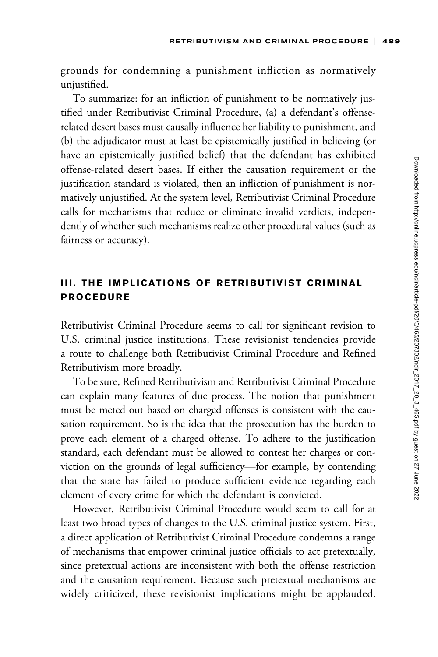grounds for condemning a punishment infliction as normatively unjustified.

To summarize: for an infliction of punishment to be normatively justified under Retributivist Criminal Procedure, (a) a defendant's offenserelated desert bases must causally influence her liability to punishment, and (b) the adjudicator must at least be epistemically justified in believing (or have an epistemically justified belief) that the defendant has exhibited offense-related desert bases. If either the causation requirement or the justification standard is violated, then an infliction of punishment is normatively unjustified. At the system level, Retributivist Criminal Procedure calls for mechanisms that reduce or eliminate invalid verdicts, independently of whether such mechanisms realize other procedural values (such as fairness or accuracy).

# III. THE IMPLICATIONS OF RETRIBUTIVIST CRIMINAL PROCEDURE

Retributivist Criminal Procedure seems to call for significant revision to U.S. criminal justice institutions. These revisionist tendencies provide a route to challenge both Retributivist Criminal Procedure and Refined Retributivism more broadly.

To be sure, Refined Retributivism and Retributivist Criminal Procedure can explain many features of due process. The notion that punishment must be meted out based on charged offenses is consistent with the causation requirement. So is the idea that the prosecution has the burden to prove each element of a charged offense. To adhere to the justification standard, each defendant must be allowed to contest her charges or conviction on the grounds of legal sufficiency—for example, by contending that the state has failed to produce sufficient evidence regarding each element of every crime for which the defendant is convicted.

However, Retributivist Criminal Procedure would seem to call for at least two broad types of changes to the U.S. criminal justice system. First, a direct application of Retributivist Criminal Procedure condemns a range of mechanisms that empower criminal justice officials to act pretextually, since pretextual actions are inconsistent with both the offense restriction and the causation requirement. Because such pretextual mechanisms are widely criticized, these revisionist implications might be applauded.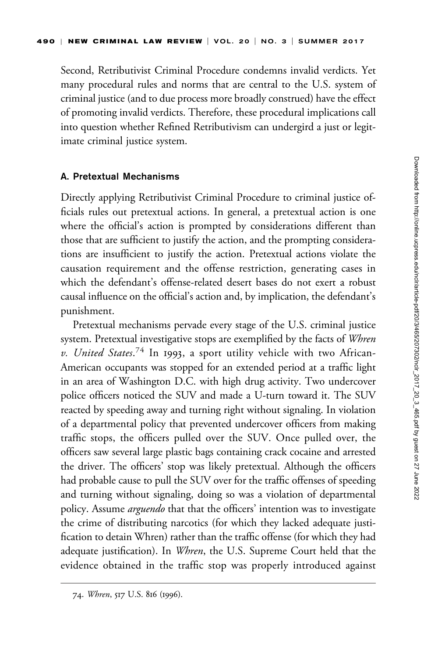Second, Retributivist Criminal Procedure condemns invalid verdicts. Yet many procedural rules and norms that are central to the U.S. system of criminal justice (and to due process more broadly construed) have the effect of promoting invalid verdicts. Therefore, these procedural implications call into question whether Refined Retributivism can undergird a just or legitimate criminal justice system.

### A. Pretextual Mechanisms

Directly applying Retributivist Criminal Procedure to criminal justice officials rules out pretextual actions. In general, a pretextual action is one where the official's action is prompted by considerations different than those that are sufficient to justify the action, and the prompting considerations are insufficient to justify the action. Pretextual actions violate the causation requirement and the offense restriction, generating cases in which the defendant's offense-related desert bases do not exert a robust causal influence on the official's action and, by implication, the defendant's punishment.

Pretextual mechanisms pervade every stage of the U.S. criminal justice system. Pretextual investigative stops are exemplified by the facts of Whren v. United States.<sup>74</sup> In 1993, a sport utility vehicle with two African-American occupants was stopped for an extended period at a traffic light in an area of Washington D.C. with high drug activity. Two undercover police officers noticed the SUV and made a U-turn toward it. The SUV reacted by speeding away and turning right without signaling. In violation of a departmental policy that prevented undercover officers from making traffic stops, the officers pulled over the SUV. Once pulled over, the officers saw several large plastic bags containing crack cocaine and arrested the driver. The officers' stop was likely pretextual. Although the officers had probable cause to pull the SUV over for the traffic offenses of speeding and turning without signaling, doing so was a violation of departmental policy. Assume *arguendo* that that the officers' intention was to investigate the crime of distributing narcotics (for which they lacked adequate justification to detain Whren) rather than the traffic offense (for which they had adequate justification). In *Whren*, the U.S. Supreme Court held that the evidence obtained in the traffic stop was properly introduced against

<sup>74.</sup> Whren, 517 U.S. 816 (1996).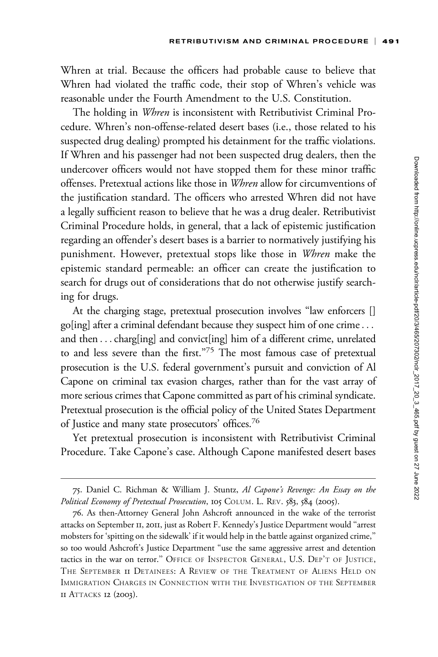Whren at trial. Because the officers had probable cause to believe that Whren had violated the traffic code, their stop of Whren's vehicle was reasonable under the Fourth Amendment to the U.S. Constitution.

The holding in *Whren* is inconsistent with Retributivist Criminal Procedure. Whren's non-offense-related desert bases (i.e., those related to his suspected drug dealing) prompted his detainment for the traffic violations. If Whren and his passenger had not been suspected drug dealers, then the undercover officers would not have stopped them for these minor traffic offenses. Pretextual actions like those in Whren allow for circumventions of the justification standard. The officers who arrested Whren did not have a legally sufficient reason to believe that he was a drug dealer. Retributivist Criminal Procedure holds, in general, that a lack of epistemic justification regarding an offender's desert bases is a barrier to normatively justifying his punishment. However, pretextual stops like those in Whren make the epistemic standard permeable: an officer can create the justification to search for drugs out of considerations that do not otherwise justify searching for drugs.

At the charging stage, pretextual prosecution involves "law enforcers [] go[ing] after a criminal defendant because they suspect him of one crime... and then ...charg[ing] and convict[ing] him of a different crime, unrelated to and less severe than the first."<sup>75</sup> The most famous case of pretextual prosecution is the U.S. federal government's pursuit and conviction of Al Capone on criminal tax evasion charges, rather than for the vast array of more serious crimes that Capone committed as part of his criminal syndicate. Pretextual prosecution is the official policy of the United States Department of Justice and many state prosecutors' offices.<sup>76</sup>

Yet pretextual prosecution is inconsistent with Retributivist Criminal Procedure. Take Capone's case. Although Capone manifested desert bases

<sup>75.</sup> Daniel C. Richman & William J. Stuntz, Al Capone's Revenge: An Essay on the Political Economy of Pretextual Prosecution, 105 COLUM. L. REV. 583, 584 (2005).

<sup>76.</sup> As then-Attorney General John Ashcroft announced in the wake of the terrorist attacks on September 11, 2011, just as Robert F. Kennedy's Justice Department would ''arrest mobsters for 'spitting on the sidewalk' if it would help in the battle against organized crime,'' so too would Ashcroft's Justice Department ''use the same aggressive arrest and detention tactics in the war on terror.'' OFFICE OF INSPECTOR GENERAL, U.S. DEP'T OF JUSTICE, THE SEPTEMBER II DETAINEES: A REVIEW OF THE TREATMENT OF ALIENS HELD ON IMMIGRATION CHARGES IN CONNECTION WITH THE INVESTIGATION OF THE SEPTEMBER 11 ATTACKS 12 (2003).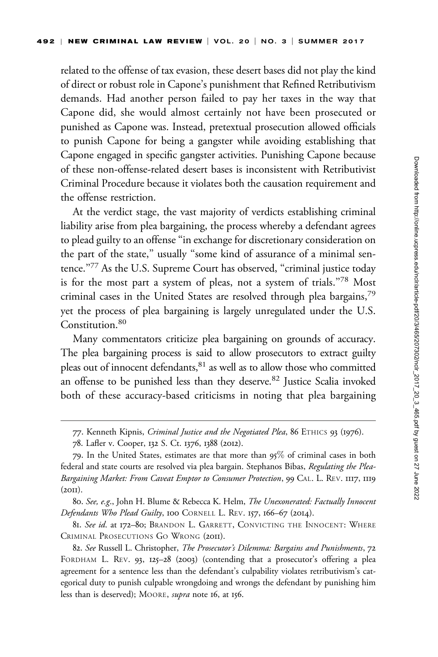related to the offense of tax evasion, these desert bases did not play the kind of direct or robust role in Capone's punishment that Refined Retributivism demands. Had another person failed to pay her taxes in the way that Capone did, she would almost certainly not have been prosecuted or punished as Capone was. Instead, pretextual prosecution allowed officials to punish Capone for being a gangster while avoiding establishing that Capone engaged in specific gangster activities. Punishing Capone because of these non-offense-related desert bases is inconsistent with Retributivist Criminal Procedure because it violates both the causation requirement and the offense restriction.

At the verdict stage, the vast majority of verdicts establishing criminal liability arise from plea bargaining, the process whereby a defendant agrees to plead guilty to an offense ''in exchange for discretionary consideration on the part of the state," usually "some kind of assurance of a minimal sentence."77 As the U.S. Supreme Court has observed, "criminal justice today is for the most part a system of pleas, not a system of trials."78 Most criminal cases in the United States are resolved through plea bargains,<sup>79</sup> yet the process of plea bargaining is largely unregulated under the U.S. Constitution.<sup>80</sup>

Many commentators criticize plea bargaining on grounds of accuracy. The plea bargaining process is said to allow prosecutors to extract guilty pleas out of innocent defendants, <sup>81</sup> as well as to allow those who committed an offense to be punished less than they deserve.<sup>82</sup> Justice Scalia invoked both of these accuracy-based criticisms in noting that plea bargaining

<sup>77.</sup> Kenneth Kipnis, Criminal Justice and the Negotiated Plea, 86 ETHICS 93 (1976).

<sup>78.</sup> Lafler v. Cooper, 132 S. Ct. 1376, 1388 (2012).

<sup>79.</sup> In the United States, estimates are that more than 95% of criminal cases in both federal and state courts are resolved via plea bargain. Stephanos Bibas, Regulating the Plea-Bargaining Market: From Caveat Emptor to Consumer Protection, 99 CAL. L. REV. 1117, 1119  $(2OII).$ 

<sup>80.</sup> See, e.g., John H. Blume & Rebecca K. Helm, The Unexonerated: Factually Innocent Defendants Who Plead Guilty, 100 CORNELL L. REV. 157, 166-67 (2014).

<sup>81.</sup> See id. at 172-80; BRANDON L. GARRETT, CONVICTING THE INNOCENT: WHERE CRIMINAL PROSECUTIONS GO WRONG (2011).

<sup>82.</sup> See Russell L. Christopher, The Prosecutor's Dilemma: Bargains and Punishments, 72 FORDHAM L. REV. 93, 125–28 (2003) (contending that a prosecutor's offering a plea agreement for a sentence less than the defendant's culpability violates retributivism's categorical duty to punish culpable wrongdoing and wrongs the defendant by punishing him less than is deserved); MOORE, supra note 16, at 156.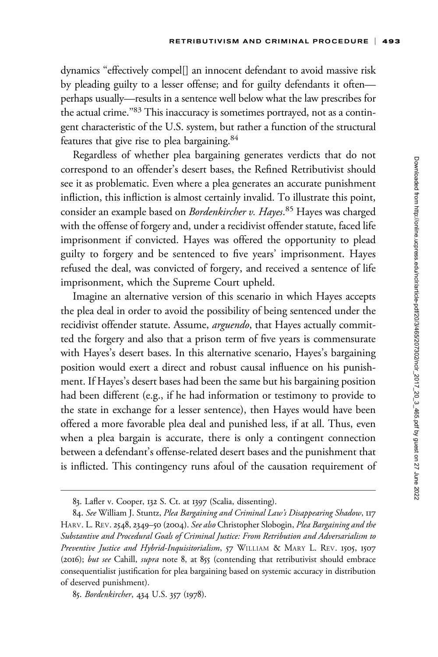dynamics ''effectively compel[] an innocent defendant to avoid massive risk by pleading guilty to a lesser offense; and for guilty defendants it often perhaps usually—results in a sentence well below what the law prescribes for the actual crime."<sup>83</sup> This inaccuracy is sometimes portrayed, not as a contingent characteristic of the U.S. system, but rather a function of the structural features that give rise to plea bargaining.<sup>84</sup>

Regardless of whether plea bargaining generates verdicts that do not correspond to an offender's desert bases, the Refined Retributivist should see it as problematic. Even where a plea generates an accurate punishment infliction, this infliction is almost certainly invalid. To illustrate this point, consider an example based on *Bordenkircher v. Hayes*.<sup>85</sup> Hayes was charged with the offense of forgery and, under a recidivist offender statute, faced life imprisonment if convicted. Hayes was offered the opportunity to plead guilty to forgery and be sentenced to five years' imprisonment. Hayes refused the deal, was convicted of forgery, and received a sentence of life imprisonment, which the Supreme Court upheld.

Imagine an alternative version of this scenario in which Hayes accepts the plea deal in order to avoid the possibility of being sentenced under the recidivist offender statute. Assume, arguendo, that Hayes actually committed the forgery and also that a prison term of five years is commensurate with Hayes's desert bases. In this alternative scenario, Hayes's bargaining position would exert a direct and robust causal influence on his punishment. If Hayes's desert bases had been the same but his bargaining position had been different (e.g., if he had information or testimony to provide to the state in exchange for a lesser sentence), then Hayes would have been offered a more favorable plea deal and punished less, if at all. Thus, even when a plea bargain is accurate, there is only a contingent connection between a defendant's offense-related desert bases and the punishment that is inflicted. This contingency runs afoul of the causation requirement of

<sup>83.</sup> Lafler v. Cooper, 132 S. Ct. at 1397 (Scalia, dissenting).

<sup>84.</sup> See William J. Stuntz, Plea Bargaining and Criminal Law's Disappearing Shadow, 117 HARV. L. REV. 2548, 2349-50 (2004). See also Christopher Slobogin, Plea Bargaining and the Substantive and Procedural Goals of Criminal Justice: From Retribution and Adversarialism to Preventive Justice and Hybrid-Inquisitorialism, 57 WILLIAM & MARY L. REV. 1505, 1507 (2016); but see Cahill, supra note 8, at 855 (contending that retributivist should embrace consequentialist justification for plea bargaining based on systemic accuracy in distribution of deserved punishment).

<sup>85.</sup> Bordenkircher, 434 U.S. 357 (1978).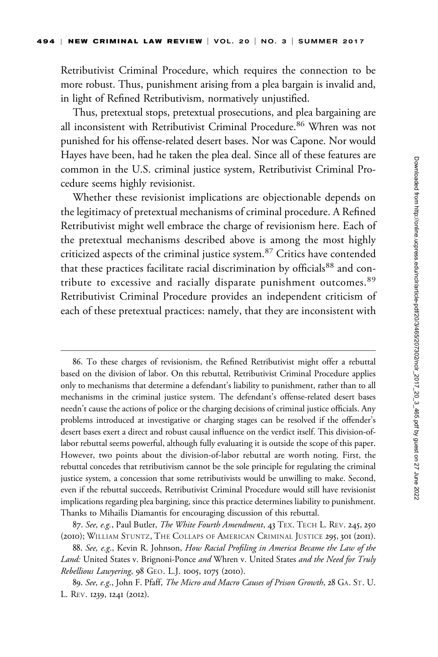Retributivist Criminal Procedure, which requires the connection to be more robust. Thus, punishment arising from a plea bargain is invalid and, in light of Refined Retributivism, normatively unjustified.

Thus, pretextual stops, pretextual prosecutions, and plea bargaining are all inconsistent with Retributivist Criminal Procedure.<sup>86</sup> Whren was not punished for his offense-related desert bases. Nor was Capone. Nor would Hayes have been, had he taken the plea deal. Since all of these features are common in the U.S. criminal justice system, Retributivist Criminal Procedure seems highly revisionist.

Whether these revisionist implications are objectionable depends on the legitimacy of pretextual mechanisms of criminal procedure. A Refined Retributivist might well embrace the charge of revisionism here. Each of the pretextual mechanisms described above is among the most highly criticized aspects of the criminal justice system.<sup>87</sup> Critics have contended that these practices facilitate racial discrimination by officials<sup>88</sup> and contribute to excessive and racially disparate punishment outcomes.<sup>89</sup> Retributivist Criminal Procedure provides an independent criticism of each of these pretextual practices: namely, that they are inconsistent with

<sup>86.</sup> To these charges of revisionism, the Refined Retributivist might offer a rebuttal based on the division of labor. On this rebuttal, Retributivist Criminal Procedure applies only to mechanisms that determine a defendant's liability to punishment, rather than to all mechanisms in the criminal justice system. The defendant's offense-related desert bases needn't cause the actions of police or the charging decisions of criminal justice officials. Any problems introduced at investigative or charging stages can be resolved if the offender's desert bases exert a direct and robust causal influence on the verdict itself. This division-oflabor rebuttal seems powerful, although fully evaluating it is outside the scope of this paper. However, two points about the division-of-labor rebuttal are worth noting. First, the rebuttal concedes that retributivism cannot be the sole principle for regulating the criminal justice system, a concession that some retributivists would be unwilling to make. Second, even if the rebuttal succeeds, Retributivist Criminal Procedure would still have revisionist implications regarding plea bargining, since this practice determines liability to punishment. Thanks to Mihailis Diamantis for encouraging discussion of this rebuttal.

<sup>87.</sup> See, e.g., Paul Butler, The White Fourth Amendment, 43 TEX. TECH L. REV. 245, 250 (2010); WILLIAM STUNTZ, THE COLLAPS OF AMERICAN CRIMINAL JUSTICE 295, 301 (2011).

<sup>88.</sup> See, e.g., Kevin R. Johnson, How Racial Profiling in America Became the Law of the Land: United States v. Brignoni-Ponce and Whren v. United States and the Need for Truly Rebellious Lawyering, 98 GEO. L.J. 1005, 1075 (2010).

<sup>89.</sup> See, e.g., John F. Pfaff, The Micro and Macro Causes of Prison Growth, 28 GA. ST. U. L. REV. 1239, 1241 (2012).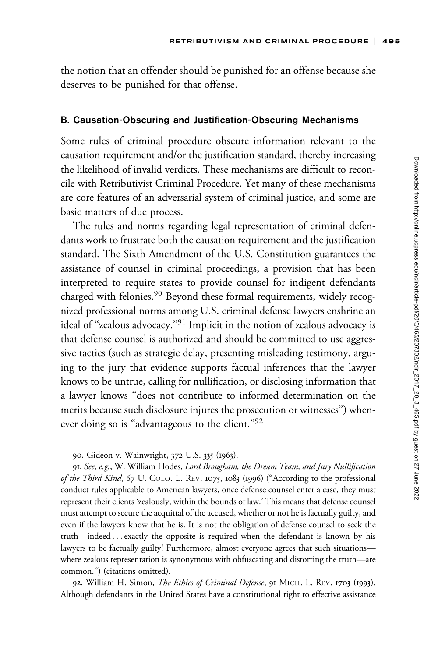the notion that an offender should be punished for an offense because she deserves to be punished for that offense.

#### B. Causation-Obscuring and Justification-Obscuring Mechanisms

Some rules of criminal procedure obscure information relevant to the causation requirement and/or the justification standard, thereby increasing the likelihood of invalid verdicts. These mechanisms are difficult to reconcile with Retributivist Criminal Procedure. Yet many of these mechanisms are core features of an adversarial system of criminal justice, and some are basic matters of due process.

The rules and norms regarding legal representation of criminal defendants work to frustrate both the causation requirement and the justification standard. The Sixth Amendment of the U.S. Constitution guarantees the assistance of counsel in criminal proceedings, a provision that has been interpreted to require states to provide counsel for indigent defendants charged with felonies.<sup>90</sup> Beyond these formal requirements, widely recognized professional norms among U.S. criminal defense lawyers enshrine an ideal of ''zealous advocacy.''<sup>91</sup> Implicit in the notion of zealous advocacy is that defense counsel is authorized and should be committed to use aggressive tactics (such as strategic delay, presenting misleading testimony, arguing to the jury that evidence supports factual inferences that the lawyer knows to be untrue, calling for nullification, or disclosing information that a lawyer knows ''does not contribute to informed determination on the merits because such disclosure injures the prosecution or witnesses'') whenever doing so is "advantageous to the client."<sup>92</sup>

92. William H. Simon, The Ethics of Criminal Defense, 91 MICH. L. REV. 1703 (1993). Although defendants in the United States have a constitutional right to effective assistance

<sup>90.</sup> Gideon v. Wainwright, 372 U.S. 335 (1963).

<sup>91.</sup> See, e.g., W. William Hodes, Lord Brougham, the Dream Team, and Jury Nullification of the Third Kind, 67 U. COLO. L. REV. 1075, 1083 (1996) ("According to the professional conduct rules applicable to American lawyers, once defense counsel enter a case, they must represent their clients 'zealously, within the bounds of law.' This means that defense counsel must attempt to secure the acquittal of the accused, whether or not he is factually guilty, and even if the lawyers know that he is. It is not the obligation of defense counsel to seek the truth—indeed ...exactly the opposite is required when the defendant is known by his lawyers to be factually guilty! Furthermore, almost everyone agrees that such situations where zealous representation is synonymous with obfuscating and distorting the truth—are common.'') (citations omitted).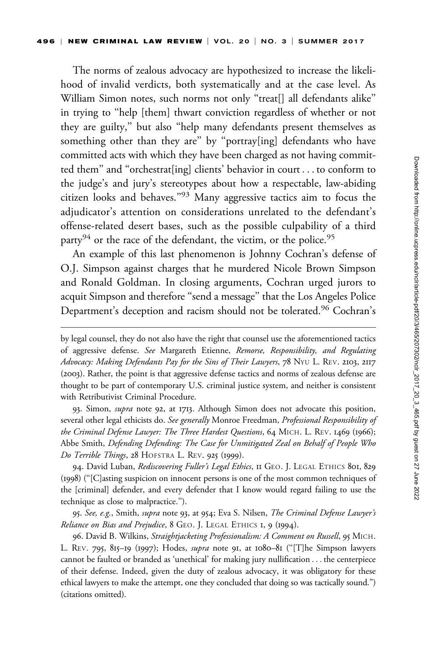The norms of zealous advocacy are hypothesized to increase the likelihood of invalid verdicts, both systematically and at the case level. As William Simon notes, such norms not only "treat[] all defendants alike" in trying to ''help [them] thwart conviction regardless of whether or not they are guilty,'' but also ''help many defendants present themselves as something other than they are'' by ''portray[ing] defendants who have committed acts with which they have been charged as not having committed them'' and ''orchestrat[ing] clients' behavior in court ... to conform to the judge's and jury's stereotypes about how a respectable, law-abiding citizen looks and behaves.''<sup>93</sup> Many aggressive tactics aim to focus the adjudicator's attention on considerations unrelated to the defendant's offense-related desert bases, such as the possible culpability of a third party<sup>94</sup> or the race of the defendant, the victim, or the police.<sup>95</sup>

An example of this last phenomenon is Johnny Cochran's defense of O.J. Simpson against charges that he murdered Nicole Brown Simpson and Ronald Goldman. In closing arguments, Cochran urged jurors to acquit Simpson and therefore ''send a message'' that the Los Angeles Police Department's deception and racism should not be tolerated.<sup>96</sup> Cochran's

93. Simon, *supra* note 92, at 1713. Although Simon does not advocate this position, several other legal ethicists do. See generally Monroe Freedman, Professional Responsibility of the Criminal Defense Lawyer: The Three Hardest Questions, 64 MICH. L. REV. 1469 (1966); Abbe Smith, Defending Defending: The Case for Unmitigated Zeal on Behalf of People Who Do Terrible Things, 28 HOFSTRA L. REV. 925 (1999).

94. David Luban, Rediscovering Fuller's Legal Ethics, II GEO. J. LEGAL ETHICS 801, 829 (1998) (''[C]asting suspicion on innocent persons is one of the most common techniques of the [criminal] defender, and every defender that I know would regard failing to use the technique as close to malpractice.'').

95. See, e.g., Smith, supra note 93, at 954; Eva S. Nilsen, The Criminal Defense Lawyer's Reliance on Bias and Prejudice, 8 GEO. J. LEGAL ETHICS 1, 9 (1994).

96. David B. Wilkins, Straightjacketing Professionalism: A Comment on Russell, 95 MICH. L. REV. 795, 815–19 (1997); Hodes, *supra* note 91, at 1080–81 ("[T]he Simpson lawyers cannot be faulted or branded as 'unethical' for making jury nullification ... the centerpiece of their defense. Indeed, given the duty of zealous advocacy, it was obligatory for these ethical lawyers to make the attempt, one they concluded that doing so was tactically sound.'') (citations omitted).

by legal counsel, they do not also have the right that counsel use the aforementioned tactics of aggressive defense. See Margareth Etienne, Remorse, Responsibility, and Regulating Advocacy: Making Defendants Pay for the Sins of Their Lawyers, 78 NYU L. REV. 2103, 2117 (2003). Rather, the point is that aggressive defense tactics and norms of zealous defense are thought to be part of contemporary U.S. criminal justice system, and neither is consistent with Retributivist Criminal Procedure.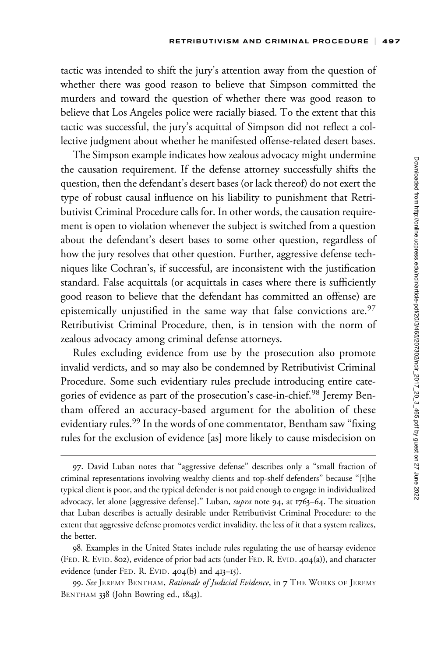tactic was intended to shift the jury's attention away from the question of whether there was good reason to believe that Simpson committed the murders and toward the question of whether there was good reason to believe that Los Angeles police were racially biased. To the extent that this tactic was successful, the jury's acquittal of Simpson did not reflect a collective judgment about whether he manifested offense-related desert bases.

The Simpson example indicates how zealous advocacy might undermine the causation requirement. If the defense attorney successfully shifts the question, then the defendant's desert bases (or lack thereof) do not exert the type of robust causal influence on his liability to punishment that Retributivist Criminal Procedure calls for. In other words, the causation requirement is open to violation whenever the subject is switched from a question about the defendant's desert bases to some other question, regardless of how the jury resolves that other question. Further, aggressive defense techniques like Cochran's, if successful, are inconsistent with the justification standard. False acquittals (or acquittals in cases where there is sufficiently good reason to believe that the defendant has committed an offense) are epistemically unjustified in the same way that false convictions are. $97$ Retributivist Criminal Procedure, then, is in tension with the norm of zealous advocacy among criminal defense attorneys.

Rules excluding evidence from use by the prosecution also promote invalid verdicts, and so may also be condemned by Retributivist Criminal Procedure. Some such evidentiary rules preclude introducing entire categories of evidence as part of the prosecution's case-in-chief.<sup>98</sup> Jeremy Bentham offered an accuracy-based argument for the abolition of these evidentiary rules.<sup>99</sup> In the words of one commentator, Bentham saw "fixing" rules for the exclusion of evidence [as] more likely to cause misdecision on

<sup>97.</sup> David Luban notes that ''aggressive defense'' describes only a ''small fraction of criminal representations involving wealthy clients and top-shelf defenders'' because ''[t]he typical client is poor, and the typical defender is not paid enough to engage in individualized advocacy, let alone [aggressive defense]." Luban, *supra* note 94, at 1763–64. The situation that Luban describes is actually desirable under Retributivist Criminal Procedure: to the extent that aggressive defense promotes verdict invalidity, the less of it that a system realizes, the better.

<sup>98.</sup> Examples in the United States include rules regulating the use of hearsay evidence (FED. R. EVID. 802), evidence of prior bad acts (under FED. R. EVID. 404(a)), and character evidence (under FED. R. EVID. 404(b) and 413–15).

<sup>99.</sup> See JEREMY BENTHAM, Rationale of Judicial Evidence, in 7 THE WORKS OF JEREMY BENTHAM 338 (John Bowring ed., 1843).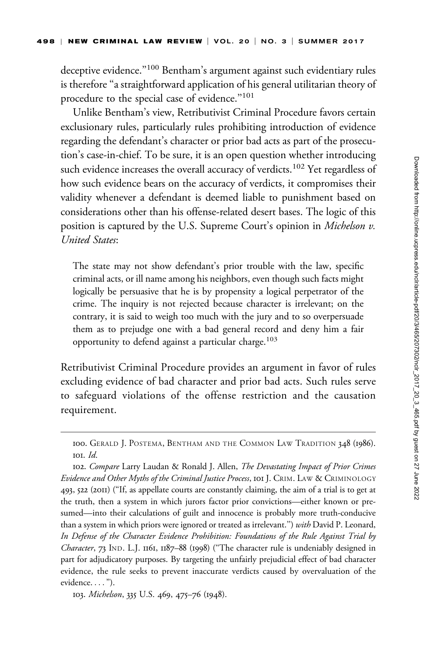deceptive evidence."<sup>100</sup> Bentham's argument against such evidentiary rules is therefore ''a straightforward application of his general utilitarian theory of procedure to the special case of evidence.''101

Unlike Bentham's view, Retributivist Criminal Procedure favors certain exclusionary rules, particularly rules prohibiting introduction of evidence regarding the defendant's character or prior bad acts as part of the prosecution's case-in-chief. To be sure, it is an open question whether introducing such evidence increases the overall accuracy of verdicts.<sup>102</sup> Yet regardless of how such evidence bears on the accuracy of verdicts, it compromises their validity whenever a defendant is deemed liable to punishment based on considerations other than his offense-related desert bases. The logic of this position is captured by the U.S. Supreme Court's opinion in *Michelson v*. United States:

The state may not show defendant's prior trouble with the law, specific criminal acts, or ill name among his neighbors, even though such facts might logically be persuasive that he is by propensity a logical perpetrator of the crime. The inquiry is not rejected because character is irrelevant; on the contrary, it is said to weigh too much with the jury and to so overpersuade them as to prejudge one with a bad general record and deny him a fair opportunity to defend against a particular charge.<sup>103</sup>

Retributivist Criminal Procedure provides an argument in favor of rules excluding evidence of bad character and prior bad acts. Such rules serve to safeguard violations of the offense restriction and the causation requirement.

103. Michelson, 335 U.S. 469, 475–76 (1948).

<sup>100.</sup> GERALD J. POSTEMA, BENTHAM AND THE COMMON LAW TRADITION 348 (1986). 101. Id.

<sup>102.</sup> Compare Larry Laudan & Ronald J. Allen, The Devastating Impact of Prior Crimes Evidence and Other Myths of the Criminal Justice Process, 101 J. CRIM. LAW & CRIMINOLOGY 493, 522 (2011) (''If, as appellate courts are constantly claiming, the aim of a trial is to get at the truth, then a system in which jurors factor prior convictions—either known or presumed—into their calculations of guilt and innocence is probably more truth-conducive than a system in which priors were ignored or treated as irrelevant.") with David P. Leonard, In Defense of the Character Evidence Prohibition: Foundations of the Rule Against Trial by Character, 73 IND. L.J. 1161, 1187–88 (1998) ("The character rule is undeniably designed in part for adjudicatory purposes. By targeting the unfairly prejudicial effect of bad character evidence, the rule seeks to prevent inaccurate verdicts caused by overvaluation of the evidence. ... '').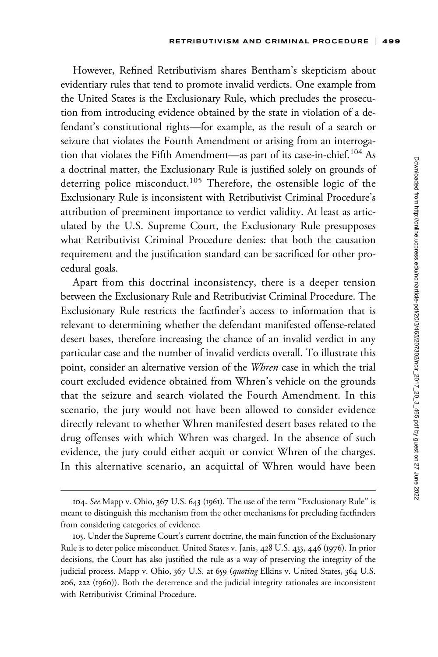However, Refined Retributivism shares Bentham's skepticism about evidentiary rules that tend to promote invalid verdicts. One example from the United States is the Exclusionary Rule, which precludes the prosecution from introducing evidence obtained by the state in violation of a defendant's constitutional rights—for example, as the result of a search or seizure that violates the Fourth Amendment or arising from an interrogation that violates the Fifth Amendment—as part of its case-in-chief.<sup>104</sup> As a doctrinal matter, the Exclusionary Rule is justified solely on grounds of deterring police misconduct.<sup>105</sup> Therefore, the ostensible logic of the Exclusionary Rule is inconsistent with Retributivist Criminal Procedure's attribution of preeminent importance to verdict validity. At least as articulated by the U.S. Supreme Court, the Exclusionary Rule presupposes what Retributivist Criminal Procedure denies: that both the causation requirement and the justification standard can be sacrificed for other procedural goals.

Apart from this doctrinal inconsistency, there is a deeper tension between the Exclusionary Rule and Retributivist Criminal Procedure. The Exclusionary Rule restricts the factfinder's access to information that is relevant to determining whether the defendant manifested offense-related desert bases, therefore increasing the chance of an invalid verdict in any particular case and the number of invalid verdicts overall. To illustrate this point, consider an alternative version of the Whren case in which the trial court excluded evidence obtained from Whren's vehicle on the grounds that the seizure and search violated the Fourth Amendment. In this scenario, the jury would not have been allowed to consider evidence directly relevant to whether Whren manifested desert bases related to the drug offenses with which Whren was charged. In the absence of such evidence, the jury could either acquit or convict Whren of the charges. In this alternative scenario, an acquittal of Whren would have been

<sup>104.</sup> See Mapp v. Ohio, 367 U.S. 643 (1961). The use of the term ''Exclusionary Rule'' is meant to distinguish this mechanism from the other mechanisms for precluding factfinders from considering categories of evidence.

<sup>105.</sup> Under the Supreme Court's current doctrine, the main function of the Exclusionary Rule is to deter police misconduct. United States v. Janis, 428 U.S. 433, 446 (1976). In prior decisions, the Court has also justified the rule as a way of preserving the integrity of the judicial process. Mapp v. Ohio, 367 U.S. at 659 (quoting Elkins v. United States, 364 U.S. 206, 222 (1960)). Both the deterrence and the judicial integrity rationales are inconsistent with Retributivist Criminal Procedure.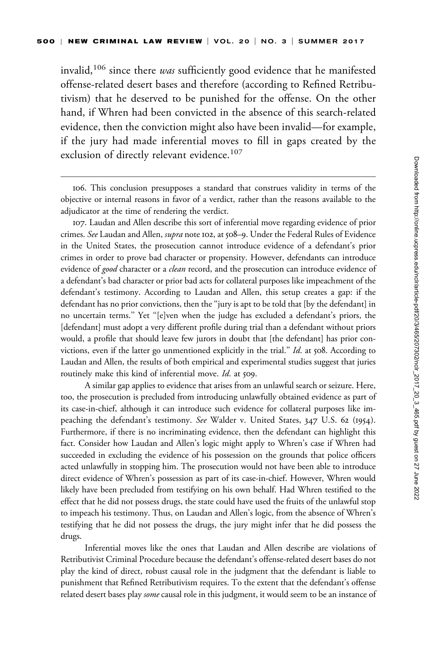invalid,<sup>106</sup> since there was sufficiently good evidence that he manifested offense-related desert bases and therefore (according to Refined Retributivism) that he deserved to be punished for the offense. On the other hand, if Whren had been convicted in the absence of this search-related evidence, then the conviction might also have been invalid—for example, if the jury had made inferential moves to fill in gaps created by the exclusion of directly relevant evidence.<sup>107</sup>

106. This conclusion presupposes a standard that construes validity in terms of the objective or internal reasons in favor of a verdict, rather than the reasons available to the adjudicator at the time of rendering the verdict.

107. Laudan and Allen describe this sort of inferential move regarding evidence of prior crimes. See Laudan and Allen, supra note 102, at 508-9. Under the Federal Rules of Evidence in the United States, the prosecution cannot introduce evidence of a defendant's prior crimes in order to prove bad character or propensity. However, defendants can introduce evidence of good character or a clean record, and the prosecution can introduce evidence of a defendant's bad character or prior bad acts for collateral purposes like impeachment of the defendant's testimony. According to Laudan and Allen, this setup creates a gap: if the defendant has no prior convictions, then the ''jury is apt to be told that [by the defendant] in no uncertain terms.'' Yet ''[e]ven when the judge has excluded a defendant's priors, the [defendant] must adopt a very different profile during trial than a defendant without priors would, a profile that should leave few jurors in doubt that [the defendant] has prior convictions, even if the latter go unmentioned explicitly in the trial." Id. at 508. According to Laudan and Allen, the results of both empirical and experimental studies suggest that juries routinely make this kind of inferential move. Id. at 509.

A similar gap applies to evidence that arises from an unlawful search or seizure. Here, too, the prosecution is precluded from introducing unlawfully obtained evidence as part of its case-in-chief, although it can introduce such evidence for collateral purposes like impeaching the defendant's testimony. See Walder v. United States, 347 U.S. 62 (1954). Furthermore, if there is no incriminating evidence, then the defendant can highlight this fact. Consider how Laudan and Allen's logic might apply to Whren's case if Whren had succeeded in excluding the evidence of his possession on the grounds that police officers acted unlawfully in stopping him. The prosecution would not have been able to introduce direct evidence of Whren's possession as part of its case-in-chief. However, Whren would likely have been precluded from testifying on his own behalf. Had Whren testified to the effect that he did not possess drugs, the state could have used the fruits of the unlawful stop to impeach his testimony. Thus, on Laudan and Allen's logic, from the absence of Whren's testifying that he did not possess the drugs, the jury might infer that he did possess the drugs.

Inferential moves like the ones that Laudan and Allen describe are violations of Retributivist Criminal Procedure because the defendant's offense-related desert bases do not play the kind of direct, robust causal role in the judgment that the defendant is liable to punishment that Refined Retributivism requires. To the extent that the defendant's offense related desert bases play some causal role in this judgment, it would seem to be an instance of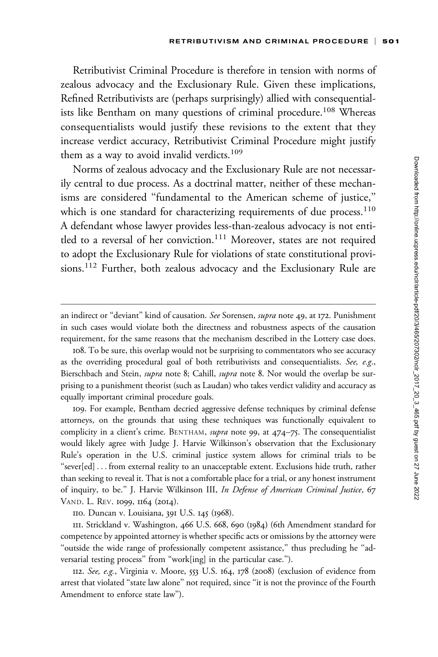Retributivist Criminal Procedure is therefore in tension with norms of zealous advocacy and the Exclusionary Rule. Given these implications, Refined Retributivists are (perhaps surprisingly) allied with consequentialists like Bentham on many questions of criminal procedure.<sup>108</sup> Whereas consequentialists would justify these revisions to the extent that they increase verdict accuracy, Retributivist Criminal Procedure might justify them as a way to avoid invalid verdicts.<sup>109</sup>

Norms of zealous advocacy and the Exclusionary Rule are not necessarily central to due process. As a doctrinal matter, neither of these mechanisms are considered ''fundamental to the American scheme of justice,'' which is one standard for characterizing requirements of due process.<sup>110</sup> A defendant whose lawyer provides less-than-zealous advocacy is not entitled to a reversal of her conviction.<sup>111</sup> Moreover, states are not required to adopt the Exclusionary Rule for violations of state constitutional provisions.<sup>112</sup> Further, both zealous advocacy and the Exclusionary Rule are

109. For example, Bentham decried aggressive defense techniques by criminal defense attorneys, on the grounds that using these techniques was functionally equivalent to complicity in a client's crime. BENTHAM, *supra* note 99, at 474–75. The consequentialist would likely agree with Judge J. Harvie Wilkinson's observation that the Exclusionary Rule's operation in the U.S. criminal justice system allows for criminal trials to be ''sever[ed] ... from external reality to an unacceptable extent. Exclusions hide truth, rather than seeking to reveal it. That is not a comfortable place for a trial, or any honest instrument of inquiry, to be." J. Harvie Wilkinson III, In Defense of American Criminal Justice, 67 VAND. L. REV. 1099, 1164 (2014).

an indirect or "deviant" kind of causation. See Sorensen, supra note 49, at 172. Punishment in such cases would violate both the directness and robustness aspects of the causation requirement, for the same reasons that the mechanism described in the Lottery case does.

<sup>108.</sup> To be sure, this overlap would not be surprising to commentators who see accuracy as the overriding procedural goal of both retributivists and consequentialists. See, e.g., Bierschbach and Stein, *supra* note 8; Cahill, *supra* note 8. Nor would the overlap be surprising to a punishment theorist (such as Laudan) who takes verdict validity and accuracy as equally important criminal procedure goals.

<sup>110.</sup> Duncan v. Louisiana, 391 U.S. 145 (1968).

<sup>111.</sup> Strickland v. Washington, 466 U.S. 668, 690 (1984) (6th Amendment standard for competence by appointed attorney is whether specific acts or omissions by the attorney were "outside the wide range of professionally competent assistance," thus precluding he "adversarial testing process'' from ''work[ing] in the particular case.'').

<sup>112.</sup> See, e.g., Virginia v. Moore, 553 U.S. 164, 178 (2008) (exclusion of evidence from arrest that violated ''state law alone'' not required, since ''it is not the province of the Fourth Amendment to enforce state law'').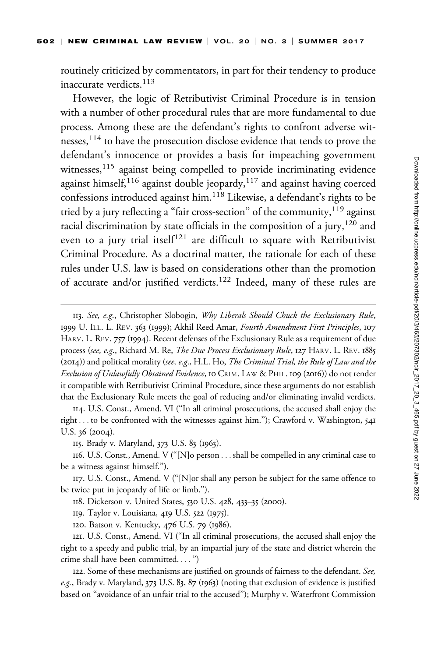routinely criticized by commentators, in part for their tendency to produce inaccurate verdicts.<sup>113</sup>

However, the logic of Retributivist Criminal Procedure is in tension with a number of other procedural rules that are more fundamental to due process. Among these are the defendant's rights to confront adverse witnesses,<sup>114</sup> to have the prosecution disclose evidence that tends to prove the defendant's innocence or provides a basis for impeaching government witnesses,<sup>115</sup> against being compelled to provide incriminating evidence against himself,<sup>116</sup> against double jeopardy,<sup>117</sup> and against having coerced confessions introduced against him.<sup>118</sup> Likewise, a defendant's rights to be tried by a jury reflecting a "fair cross-section" of the community,  $^{119}$  against racial discrimination by state officials in the composition of a jury,  $120$  and even to a jury trial itsel $f^{121}$  are difficult to square with Retributivist Criminal Procedure. As a doctrinal matter, the rationale for each of these rules under U.S. law is based on considerations other than the promotion of accurate and/or justified verdicts.<sup>122</sup> Indeed, many of these rules are

114. U.S. Const., Amend. VI (''In all criminal prosecutions, the accused shall enjoy the right ... to be confronted with the witnesses against him.''); Crawford v. Washington, 541 U.S. 36 (2004).

115. Brady v. Maryland, 373 U.S. 83 (1963).

116. U.S. Const., Amend. V (''[N]o person ... shall be compelled in any criminal case to be a witness against himself.'').

117. U.S. Const., Amend. V (''[N]or shall any person be subject for the same offence to be twice put in jeopardy of life or limb.'').

118. Dickerson v. United States, 530 U.S. 428, 433–35 (2000).

119. Taylor v. Louisiana, 419 U.S. 522 (1975).

120. Batson v. Kentucky, 476 U.S. 79 (1986).

121. U.S. Const., Amend. VI (''In all criminal prosecutions, the accused shall enjoy the right to a speedy and public trial, by an impartial jury of the state and district wherein the crime shall have been committed. ... '')

122. Some of these mechanisms are justified on grounds of fairness to the defendant. See, e.g., Brady v. Maryland, 373 U.S. 83, 87 (1963) (noting that exclusion of evidence is justified based on ''avoidance of an unfair trial to the accused''); Murphy v. Waterfront Commission

<sup>113.</sup> See, e.g., Christopher Slobogin, Why Liberals Should Chuck the Exclusionary Rule, 1999 U. ILL. L. REV. 363 (1999); Akhil Reed Amar, Fourth Amendment First Principles, 107 HARV. L. REV. 757 (1994). Recent defenses of the Exclusionary Rule as a requirement of due process (see, e.g., Richard M. Re, The Due Process Exclusionary Rule, 127 HARV. L. REV. 1885 (2014)) and political morality (see, e.g., H.L. Ho, The Criminal Trial, the Rule of Law and the Exclusion of Unlawfully Obtained Evidence, 10 CRIM. LAW & PHIL. 109 (2016)) do not render it compatible with Retributivist Criminal Procedure, since these arguments do not establish that the Exclusionary Rule meets the goal of reducing and/or eliminating invalid verdicts.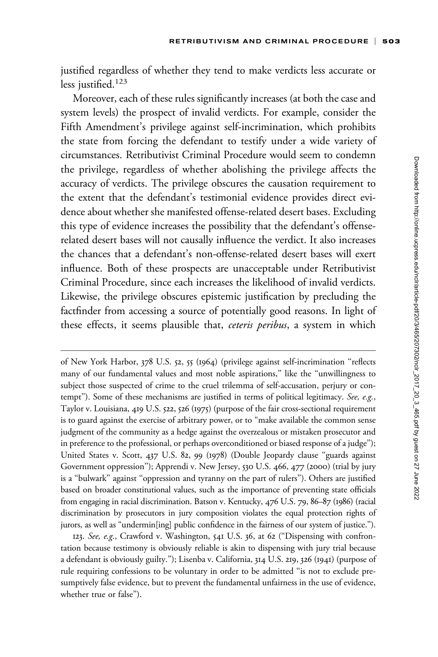justified regardless of whether they tend to make verdicts less accurate or less justified.<sup>123</sup>

Moreover, each of these rules significantly increases (at both the case and system levels) the prospect of invalid verdicts. For example, consider the Fifth Amendment's privilege against self-incrimination, which prohibits the state from forcing the defendant to testify under a wide variety of circumstances. Retributivist Criminal Procedure would seem to condemn the privilege, regardless of whether abolishing the privilege affects the accuracy of verdicts. The privilege obscures the causation requirement to the extent that the defendant's testimonial evidence provides direct evidence about whether she manifested offense-related desert bases. Excluding this type of evidence increases the possibility that the defendant's offenserelated desert bases will not causally influence the verdict. It also increases the chances that a defendant's non-offense-related desert bases will exert influence. Both of these prospects are unacceptable under Retributivist Criminal Procedure, since each increases the likelihood of invalid verdicts. Likewise, the privilege obscures epistemic justification by precluding the factfinder from accessing a source of potentially good reasons. In light of these effects, it seems plausible that, ceteris peribus, a system in which

of New York Harbor, 378 U.S. 52, 55 (1964) (privilege against self-incrimination ''reflects many of our fundamental values and most noble aspirations,'' like the ''unwillingness to subject those suspected of crime to the cruel trilemma of self-accusation, perjury or contempt"). Some of these mechanisms are justified in terms of political legitimacy. See, e.g., Taylor v. Louisiana, 419 U.S. 522, 526 (1975) (purpose of the fair cross-sectional requirement is to guard against the exercise of arbitrary power, or to "make available the common sense judgment of the community as a hedge against the overzealous or mistaken prosecutor and in preference to the professional, or perhaps overconditioned or biased response of a judge''); United States v. Scott, 437 U.S. 82, 99 (1978) (Double Jeopardy clause ''guards against Government oppression''); Apprendi v. New Jersey, 530 U.S. 466, 477 (2000) (trial by jury is a ''bulwark'' against ''oppression and tyranny on the part of rulers''). Others are justified based on broader constitutional values, such as the importance of preventing state officials from engaging in racial discrimination. Batson v. Kentucky, 476 U.S. 79, 86–87 (1986) (racial discrimination by prosecutors in jury composition violates the equal protection rights of jurors, as well as ''undermin[ing] public confidence in the fairness of our system of justice.'').

123. See, e.g., Crawford v. Washington, 541 U.S. 36, at 62 ("Dispensing with confrontation because testimony is obviously reliable is akin to dispensing with jury trial because a defendant is obviously guilty.''); Lisenba v. California, 314 U.S. 219, 326 (1941) (purpose of rule requiring confessions to be voluntary in order to be admitted ''is not to exclude presumptively false evidence, but to prevent the fundamental unfairness in the use of evidence, whether true or false'').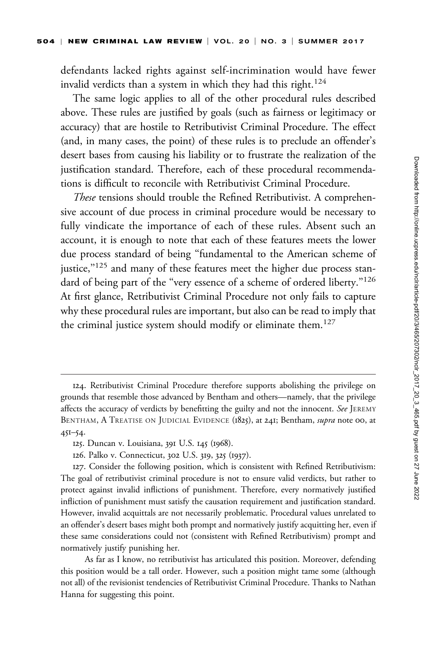defendants lacked rights against self-incrimination would have fewer invalid verdicts than a system in which they had this right.<sup>124</sup>

The same logic applies to all of the other procedural rules described above. These rules are justified by goals (such as fairness or legitimacy or accuracy) that are hostile to Retributivist Criminal Procedure. The effect (and, in many cases, the point) of these rules is to preclude an offender's desert bases from causing his liability or to frustrate the realization of the justification standard. Therefore, each of these procedural recommendations is difficult to reconcile with Retributivist Criminal Procedure.

These tensions should trouble the Refined Retributivist. A comprehensive account of due process in criminal procedure would be necessary to fully vindicate the importance of each of these rules. Absent such an account, it is enough to note that each of these features meets the lower due process standard of being ''fundamental to the American scheme of justice,"<sup>125</sup> and many of these features meet the higher due process standard of being part of the "very essence of a scheme of ordered liberty."<sup>126</sup> At first glance, Retributivist Criminal Procedure not only fails to capture why these procedural rules are important, but also can be read to imply that the criminal justice system should modify or eliminate them.<sup>127</sup>

126. Palko v. Connecticut, 302 U.S. 319, 325 (1937).

127. Consider the following position, which is consistent with Refined Retributivism: The goal of retributivist criminal procedure is not to ensure valid verdicts, but rather to protect against invalid inflictions of punishment. Therefore, every normatively justified infliction of punishment must satisfy the causation requirement and justification standard. However, invalid acquittals are not necessarily problematic. Procedural values unrelated to an offender's desert bases might both prompt and normatively justify acquitting her, even if these same considerations could not (consistent with Refined Retributivism) prompt and normatively justify punishing her.

As far as I know, no retributivist has articulated this position. Moreover, defending this position would be a tall order. However, such a position might tame some (although not all) of the revisionist tendencies of Retributivist Criminal Procedure. Thanks to Nathan Hanna for suggesting this point.

<sup>124.</sup> Retributivist Criminal Procedure therefore supports abolishing the privilege on grounds that resemble those advanced by Bentham and others—namely, that the privilege affects the accuracy of verdicts by benefitting the guilty and not the innocent. See JEREMY BENTHAM, A TREATISE ON JUDICIAL EVIDENCE (1825), at 241; Bentham, supra note 00, at 451–54.

<sup>125.</sup> Duncan v. Louisiana, 391 U.S. 145 (1968).